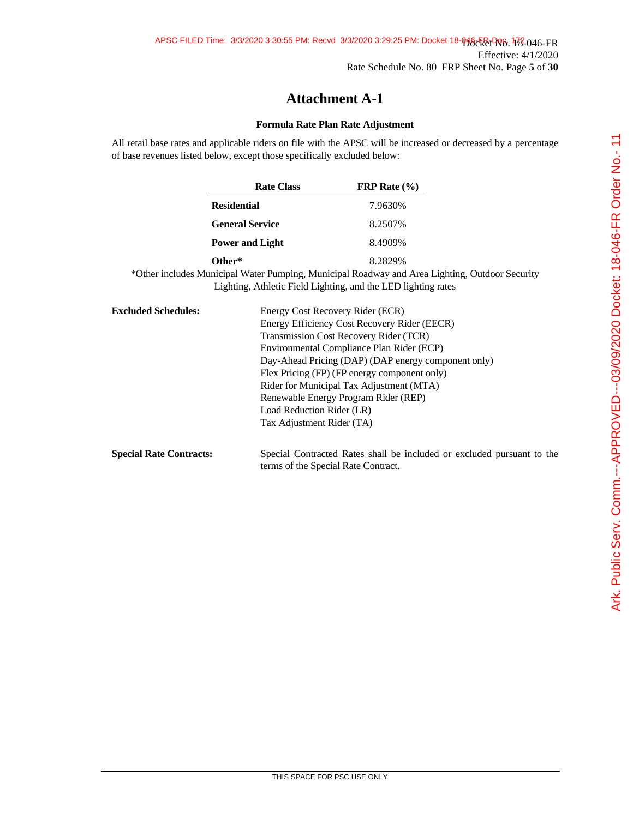## **Formula Rate Plan Rate Adjustment**

All retail base rates and applicable riders on file with the APSC will be increased or decreased by a percentage of base revenues listed below, except those specifically excluded below:

|                            | <b>Rate Class</b>      | FRP Rate $(\% )$                                                                                                                                                |  |
|----------------------------|------------------------|-----------------------------------------------------------------------------------------------------------------------------------------------------------------|--|
|                            | <b>Residential</b>     | 7.9630%                                                                                                                                                         |  |
|                            | <b>General Service</b> | 8.2507%                                                                                                                                                         |  |
|                            | <b>Power and Light</b> | 8.4909%                                                                                                                                                         |  |
|                            | Other*                 | 8.2829%                                                                                                                                                         |  |
|                            |                        | *Other includes Municipal Water Pumping, Municipal Roadway and Area Lighting, Outdoor Security<br>Lighting, Athletic Field Lighting, and the LED lighting rates |  |
| <b>Excluded Schedules:</b> |                        | Energy Cost Recovery Rider (ECR)                                                                                                                                |  |
|                            |                        | Energy Efficiency Cost Recovery Rider (EECR)                                                                                                                    |  |
|                            |                        | Transmission Cost Recovery Rider (TCR)                                                                                                                          |  |

Load Reduction Rider (LR) Tax Adjustment Rider (TA)

**Special Rate Contracts:** Special Contracted Rates shall be included or excluded pursuant to the terms of the Special Rate Contract.

Environmental Compliance Plan Rider (ECP)

Flex Pricing (FP) (FP energy component only) Rider for Municipal Tax Adjustment (MTA) Renewable Energy Program Rider (REP)

Day-Ahead Pricing (DAP) (DAP energy component only)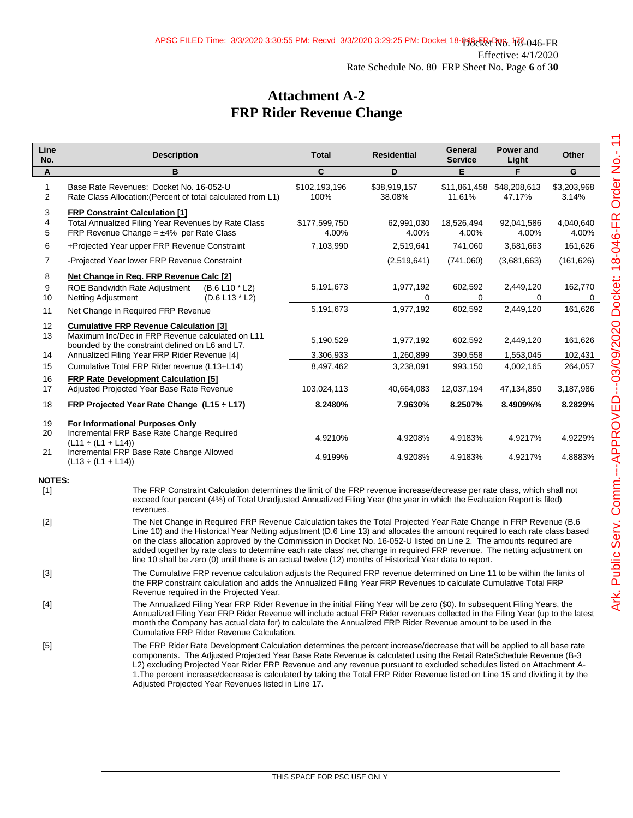## **Attachment A-2 FRP Rider Revenue Change**

| Line<br>No.          | <b>Description</b>                                                                                                                                                                                                                                                                                                                                                                                                                                                                                                                                                                                                | <b>Total</b>           | <b>Residential</b>     | General<br><b>Service</b> | Power and<br>Light     | Other                |  |
|----------------------|-------------------------------------------------------------------------------------------------------------------------------------------------------------------------------------------------------------------------------------------------------------------------------------------------------------------------------------------------------------------------------------------------------------------------------------------------------------------------------------------------------------------------------------------------------------------------------------------------------------------|------------------------|------------------------|---------------------------|------------------------|----------------------|--|
| A                    | в                                                                                                                                                                                                                                                                                                                                                                                                                                                                                                                                                                                                                 | C                      | D                      | E                         | F                      | G                    |  |
| $\mathbf{1}$<br>2    | Base Rate Revenues: Docket No. 16-052-U<br>Rate Class Allocation: (Percent of total calculated from L1)                                                                                                                                                                                                                                                                                                                                                                                                                                                                                                           | \$102,193,196<br>100%  | \$38,919,157<br>38.08% | \$11,861,458<br>11.61%    | \$48,208,613<br>47.17% | \$3,203,968<br>3.14% |  |
| 3<br>4<br>5          | <b>FRP Constraint Calculation [1]</b><br>Total Annualized Filing Year Revenues by Rate Class<br>FRP Revenue Change = $\pm$ 4% per Rate Class                                                                                                                                                                                                                                                                                                                                                                                                                                                                      | \$177,599,750<br>4.00% | 62,991,030<br>4.00%    | 18,526,494<br>4.00%       | 92,041,586<br>4.00%    | 4,040,640<br>4.00%   |  |
| 6                    | +Projected Year upper FRP Revenue Constraint                                                                                                                                                                                                                                                                                                                                                                                                                                                                                                                                                                      | 7,103,990              | 2,519,641              | 741,060                   | 3,681,663              | 161,626              |  |
| 7                    | -Projected Year lower FRP Revenue Constraint                                                                                                                                                                                                                                                                                                                                                                                                                                                                                                                                                                      |                        | (2,519,641)            | (741,060)                 | (3,681,663)            | (161, 626)           |  |
| 8<br>9<br>10         | Net Change in Reg. FRP Revenue Calc [2]<br><b>ROE Bandwidth Rate Adjustment</b><br>$(B.6 L10 * L2)$<br>Netting Adjustment<br>$(D.6 L13 * L2)$                                                                                                                                                                                                                                                                                                                                                                                                                                                                     | 5,191,673              | 1,977,192<br>0         | 602,592<br>0              | 2,449,120<br>0         | 162,770<br>0         |  |
| 11                   | Net Change in Required FRP Revenue                                                                                                                                                                                                                                                                                                                                                                                                                                                                                                                                                                                | 5,191,673              | 1,977,192              | 602,592                   | 2,449,120              | 161,626              |  |
| 12<br>13<br>14       | <b>Cumulative FRP Revenue Calculation [3]</b><br>Maximum Inc/Dec in FRP Revenue calculated on L11<br>bounded by the constraint defined on L6 and L7.<br>Annualized Filing Year FRP Rider Revenue [4]                                                                                                                                                                                                                                                                                                                                                                                                              | 5,190,529<br>3,306,933 | 1,977,192<br>1,260,899 | 602,592<br>390,558        | 2,449,120<br>1,553,045 | 161,626<br>102,431   |  |
| 15                   | Cumulative Total FRP Rider revenue (L13+L14)                                                                                                                                                                                                                                                                                                                                                                                                                                                                                                                                                                      | 8,497,462              | 3,238,091              | 993,150                   | 4,002,165              | 264,057              |  |
| 16<br>17             | <b>FRP Rate Development Calculation [5]</b><br>Adjusted Projected Year Base Rate Revenue                                                                                                                                                                                                                                                                                                                                                                                                                                                                                                                          | 103,024,113            | 40,664,083             | 12,037,194                | 47,134,850             | 3,187,986            |  |
| 18                   | FRP Projected Year Rate Change (L15 ÷ L17)                                                                                                                                                                                                                                                                                                                                                                                                                                                                                                                                                                        | 8.2480%                | 7.9630%                | 8.2507%                   | 8.4909%%               | 8.2829%              |  |
| 19<br>20<br>21       | For Informational Purposes Only<br>Incremental FRP Base Rate Change Required<br>$(L11 \div (L1 + L14))$<br>Incremental FRP Base Rate Change Allowed<br>$(L13 \div (L1 + L14))$                                                                                                                                                                                                                                                                                                                                                                                                                                    | 4.9210%<br>4.9199%     | 4.9208%<br>4.9208%     | 4.9183%<br>4.9183%        | 4.9217%<br>4.9217%     | 4.9229%<br>4.8883%   |  |
| <b>NOTES:</b><br>[1] | The FRP Constraint Calculation determines the limit of the FRP revenue increase/decrease per rate class, which shall not<br>exceed four percent (4%) of Total Unadjusted Annualized Filing Year (the year in which the Evaluation Report is filed)<br>revenues.                                                                                                                                                                                                                                                                                                                                                   |                        |                        |                           |                        |                      |  |
| $[2]$                | The Net Change in Required FRP Revenue Calculation takes the Total Projected Year Rate Change in FRP Revenue (B.6<br>Line 10) and the Historical Year Netting adjustment (D.6 Line 13) and allocates the amount required to each rate class based<br>on the class allocation approved by the Commission in Docket No. 16-052-U listed on Line 2. The amounts required are<br>added together by rate class to determine each rate class' net change in required FRP revenue. The netting adjustment on<br>line 10 shall be zero (0) until there is an actual twelve (12) months of Historical Year data to report. |                        |                        |                           |                        |                      |  |
| $[3]$                | The Cumulative FRP revenue calculation adjusts the Required FRP revenue determined on Line 11 to be within the limits of<br>the FRP constraint calculation and adds the Annualized Filing Year FRP Revenues to calculate Cumulative Total FRP<br>Revenue required in the Projected Year.                                                                                                                                                                                                                                                                                                                          |                        |                        |                           |                        |                      |  |
| [4]                  | The Annualized Filing Year FRP Rider Revenue in the initial Filing Year will be zero (\$0). In subsequent Filing Years, the<br>Annualized Filing Year FRP Rider Revenue will include actual FRP Rider revenues collected in the Filing Year (up to the latest<br>month the Company has actual data for) to calculate the Annualized FRP Rider Revenue amount to be used in the<br>Cumulative FRP Rider Revenue Calculation.                                                                                                                                                                                       |                        |                        |                           |                        |                      |  |
| $[5]$                | The FRP Rider Rate Development Calculation determines the percent increase/decrease that will be applied to all base rate<br>components. The Adjusted Projected Year Base Rate Revenue is calculated using the Retail RateSchedule Revenue (B-3<br>L2) excluding Projected Year Rider FRP Revenue and any revenue pursuant to excluded schedules listed on Attachment A-<br>1. The percent increase/decrease is calculated by taking the Total FRP Rider Revenue listed on Line 15 and dividing it by the                                                                                                         |                        |                        |                           |                        |                      |  |

Adjusted Projected Year Revenues listed in Line 17.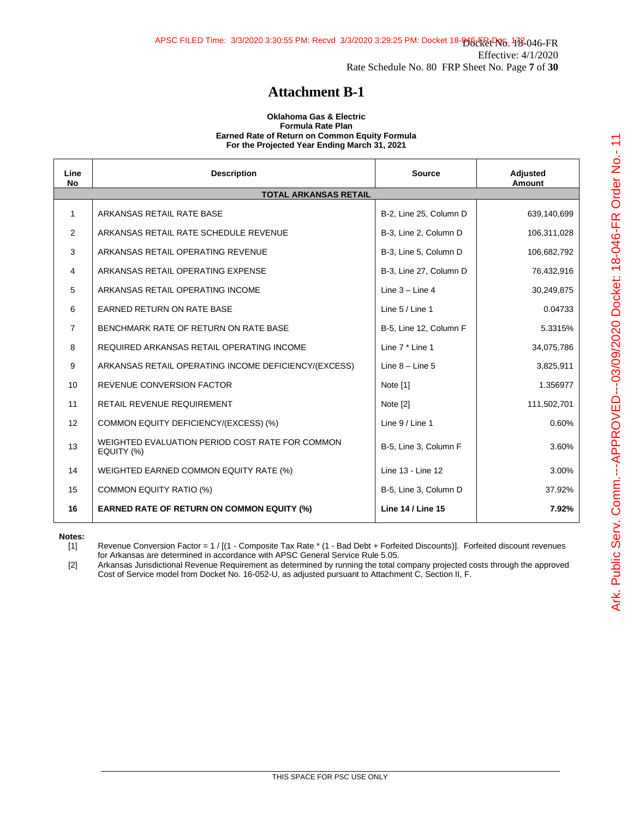#### **Oklahoma Gas & Electric Formula Rate Plan Earned Rate of Return on Common Equity Formula For the Projected Year Ending March 31, 2021**

| Line<br><b>No</b> | <b>Description</b>                                            | <b>Source</b>            | Adjusted<br>Amount |
|-------------------|---------------------------------------------------------------|--------------------------|--------------------|
|                   | <b>TOTAL ARKANSAS RETAIL</b>                                  |                          |                    |
| 1                 | ARKANSAS RETAIL RATE BASE                                     | B-2, Line 25, Column D   | 639,140,699        |
| 2                 | ARKANSAS RETAIL RATE SCHEDULE REVENUE                         | B-3, Line 2, Column D    | 106,311,028        |
| 3                 | ARKANSAS RETAIL OPERATING REVENUE                             | B-3, Line 5, Column D    | 106,682,792        |
| 4                 | ARKANSAS RETAIL OPERATING EXPENSE                             | B-3, Line 27, Column D   | 76,432,916         |
| 5                 | ARKANSAS RETAIL OPERATING INCOME                              | Line $3 -$ Line $4$      | 30,249,875         |
| 6                 | <b>EARNED RETURN ON RATE BASE</b>                             | Line 5 / Line 1          | 0.04733            |
| 7                 | BENCHMARK RATE OF RETURN ON RATE BASE                         | B-5, Line 12, Column F   | 5.3315%            |
| 8                 | REQUIRED ARKANSAS RETAIL OPERATING INCOME                     | Line 7 * Line 1          | 34,075,786         |
| 9                 | ARKANSAS RETAIL OPERATING INCOME DEFICIENCY/(EXCESS)          | Line $8 -$ Line $5$      | 3,825,911          |
| 10                | <b>REVENUE CONVERSION FACTOR</b>                              | Note [1]                 | 1.356977           |
| 11                | RETAIL REVENUE REQUIREMENT                                    | Note [2]                 | 111,502,701        |
| 12                | COMMON EQUITY DEFICIENCY/(EXCESS) (%)                         | Line $9/$ Line 1         | 0.60%              |
| 13                | WEIGHTED EVALUATION PERIOD COST RATE FOR COMMON<br>EQUITY (%) | B-5, Line 3, Column F    | 3.60%              |
| 14                | WEIGHTED EARNED COMMON EQUITY RATE (%)                        | Line 13 - Line 12        | 3.00%              |
| 15                | <b>COMMON EQUITY RATIO (%)</b>                                | B-5, Line 3, Column D    | 37.92%             |
| 16                | <b>EARNED RATE OF RETURN ON COMMON EQUITY (%)</b>             | <b>Line 14 / Line 15</b> | 7.92%              |

**Notes:**

[1] Revenue Conversion Factor = 1 / [(1 - Composite Tax Rate \* (1 - Bad Debt + Forfeited Discounts)]. Forfeited discount revenues for Arkansas are determined in accordance with APSC General Service Rule 5.05.

[2] Arkansas Jurisdictional Revenue Requirement as determined by running the total company projected costs through the approved Cost of Service model from Docket No. 16-052-U, as adjusted pursuant to Attachment C, Section II, F.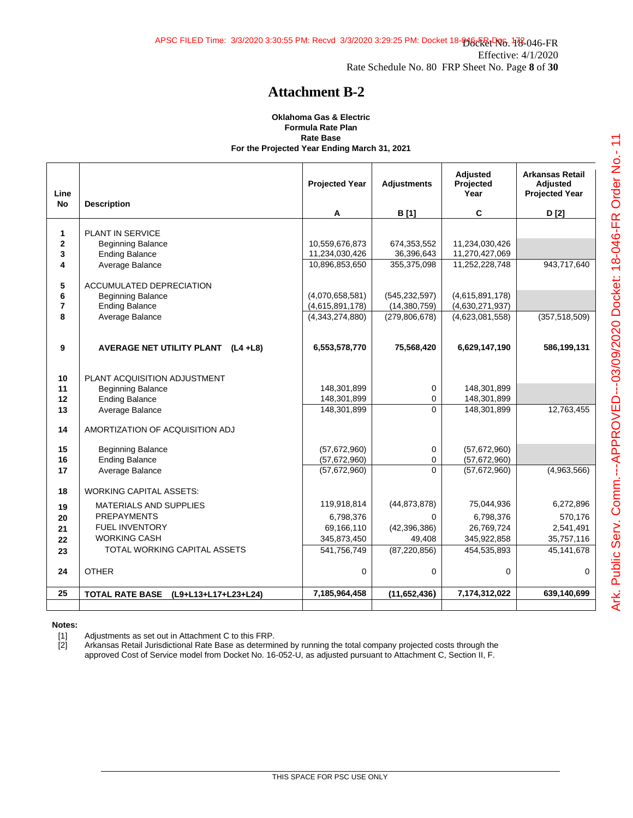#### **Oklahoma Gas & Electric Formula Rate Plan Rate Base For the Projected Year Ending March 31, 2021**

| Line<br><b>No</b> | <b>Description</b>                             | <b>Projected Year</b><br>Α | <b>Adjustments</b><br><b>B</b> [1] | <b>Adjusted</b><br>Projected<br>Year<br>C | <b>Arkansas Retail</b><br><b>Adiusted</b><br><b>Projected Year</b><br>D [2] |
|-------------------|------------------------------------------------|----------------------------|------------------------------------|-------------------------------------------|-----------------------------------------------------------------------------|
|                   |                                                |                            |                                    |                                           |                                                                             |
| $\mathbf{1}$      | PLANT IN SERVICE                               |                            |                                    |                                           |                                                                             |
| $\overline{2}$    | <b>Beginning Balance</b>                       | 10,559,676,873             | 674,353,552                        | 11,234,030,426                            |                                                                             |
| 3                 | <b>Ending Balance</b>                          | 11,234,030,426             | 36,396,643                         | 11,270,427,069                            |                                                                             |
| 4                 | Average Balance                                | 10,896,853,650             | 355,375,098                        | 11,252,228,748                            | 943,717,640                                                                 |
| 5                 | ACCUMULATED DEPRECIATION                       |                            |                                    |                                           |                                                                             |
| 6                 | <b>Beginning Balance</b>                       | (4,070,658,581)            | (545, 232, 597)                    | (4,615,891,178)                           |                                                                             |
| $\overline{7}$    | <b>Ending Balance</b>                          | (4,615,891,178)            | (14, 380, 759)                     | (4,630,271,937)                           |                                                                             |
| 8                 | Average Balance                                | (4,343,274,880)            | (279, 806, 678)                    | (4,623,081,558)                           | (357, 518, 509)                                                             |
| 9                 | AVERAGE NET UTILITY PLANT (L4 +L8)             | 6,553,578,770              | 75,568,420                         | 6,629,147,190                             | 586,199,131                                                                 |
|                   |                                                |                            |                                    |                                           |                                                                             |
| 10                | PLANT ACQUISITION ADJUSTMENT                   |                            |                                    |                                           |                                                                             |
| 11                | <b>Beginning Balance</b>                       | 148,301,899                | 0                                  | 148,301,899                               |                                                                             |
| 12                | <b>Ending Balance</b>                          | 148,301,899                | 0                                  | 148,301,899                               |                                                                             |
| 13                | Average Balance                                | 148,301,899                | $\Omega$                           | 148,301,899                               | 12,763,455                                                                  |
| 14                | AMORTIZATION OF ACQUISITION ADJ                |                            |                                    |                                           |                                                                             |
| 15                | <b>Beginning Balance</b>                       | (57,672,960)               | 0                                  | (57,672,960)                              |                                                                             |
| 16                | <b>Ending Balance</b>                          | (57,672,960)               | $\mathbf 0$                        | (57,672,960)                              |                                                                             |
| 17                | Average Balance                                | (57,672,960)               | $\Omega$                           | (57,672,960)                              | (4,963,566)                                                                 |
| 18                | <b>WORKING CAPITAL ASSETS:</b>                 |                            |                                    |                                           |                                                                             |
| 19                | <b>MATERIALS AND SUPPLIES</b>                  | 119,918,814                | (44, 873, 878)                     | 75,044,936                                | 6,272,896                                                                   |
| 20                | <b>PREPAYMENTS</b>                             | 6,798,376                  | $\Omega$                           | 6,798,376                                 | 570,176                                                                     |
| 21                | <b>FUEL INVENTORY</b>                          | 69,166,110                 | (42, 396, 386)                     | 26,769,724                                | 2,541,491                                                                   |
| 22                | <b>WORKING CASH</b>                            | 345,873,450                | 49,408                             | 345,922,858                               | 35,757,116                                                                  |
| 23                | TOTAL WORKING CAPITAL ASSETS                   | 541,756,749                | (87, 220, 856)                     | 454,535,893                               | 45,141,678                                                                  |
| 24                | <b>OTHER</b>                                   | $\mathbf 0$                | $\mathbf 0$                        | 0                                         | $\mathbf 0$                                                                 |
|                   |                                                |                            |                                    |                                           |                                                                             |
| 25                | <b>TOTAL RATE BASE</b><br>(L9+L13+L17+L23+L24) | 7,185,964,458              | (11,652,436)                       | 7,174,312,022                             | 639,140,699                                                                 |
|                   |                                                |                            |                                    |                                           |                                                                             |

**Notes:**

[1] Adjustments as set out in Attachment C to this FRP.

[2] Arkansas Retail Jurisdictional Rate Base as determined by running the total company projected costs through the approved Cost of Service model from Docket No. 16-052-U, as adjusted pursuant to Attachment C, Section II, F.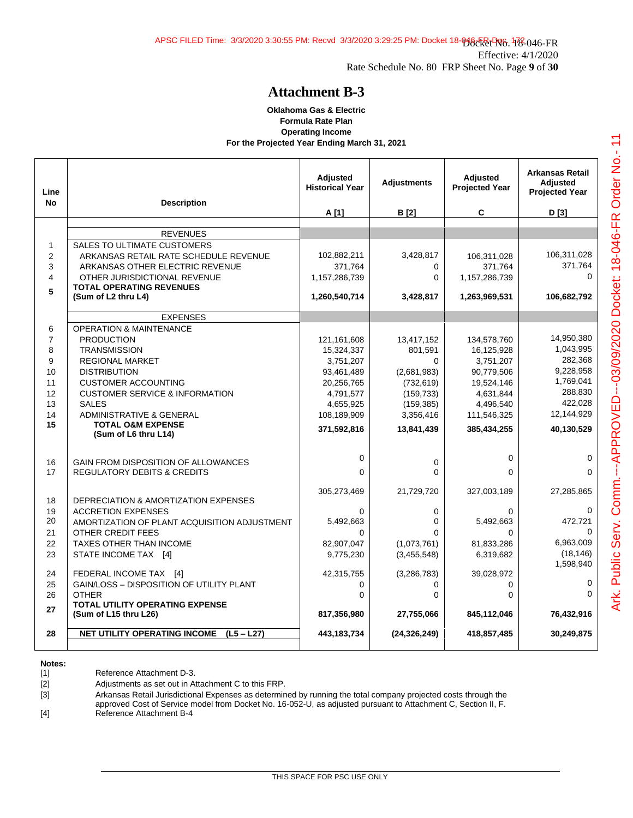#### **Oklahoma Gas & Electric Formula Rate Plan Operating Income For the Projected Year Ending March 31, 2021**

| Line<br><b>No</b>       | <b>Description</b>                                                  | <b>Adjusted</b><br><b>Historical Year</b> | <b>Adjustments</b>      | <b>Adiusted</b><br><b>Projected Year</b> | <b>Arkansas Retail</b><br><b>Adjusted</b><br><b>Projected Year</b> |
|-------------------------|---------------------------------------------------------------------|-------------------------------------------|-------------------------|------------------------------------------|--------------------------------------------------------------------|
|                         |                                                                     | A [1]                                     | <b>B</b> <sub>[2]</sub> | C                                        | D [3]                                                              |
|                         | <b>REVENUES</b>                                                     |                                           |                         |                                          |                                                                    |
| $\mathbf{1}$            | SALES TO ULTIMATE CUSTOMERS                                         |                                           |                         |                                          |                                                                    |
| $\overline{2}$          | ARKANSAS RETAIL RATE SCHEDULE REVENUE                               | 102,882,211                               | 3,428,817               | 106,311,028                              | 106,311,028                                                        |
| 3                       | ARKANSAS OTHER ELECTRIC REVENUE                                     | 371,764                                   | 0                       | 371.764                                  | 371,764                                                            |
| $\overline{\mathbf{4}}$ | OTHER JURISDICTIONAL REVENUE                                        | 1,157,286,739                             | 0                       | 1,157,286,739                            | $\Omega$                                                           |
| 5                       | <b>TOTAL OPERATING REVENUES</b>                                     |                                           |                         |                                          |                                                                    |
|                         | (Sum of L2 thru L4)                                                 | 1,260,540,714                             | 3,428,817               | 1,263,969,531                            | 106,682,792                                                        |
|                         | <b>EXPENSES</b>                                                     |                                           |                         |                                          |                                                                    |
| 6                       | <b>OPERATION &amp; MAINTENANCE</b>                                  |                                           |                         |                                          |                                                                    |
| $\overline{7}$          | <b>PRODUCTION</b>                                                   | 121,161,608                               | 13,417,152              | 134,578,760                              | 14,950,380                                                         |
| 8                       | <b>TRANSMISSION</b>                                                 | 15,324,337                                | 801,591                 | 16,125,928                               | 1,043,995                                                          |
| 9                       | <b>REGIONAL MARKET</b>                                              | 3,751,207                                 | $\Omega$                | 3,751,207                                | 282,368                                                            |
| 10                      | <b>DISTRIBUTION</b>                                                 | 93,461,489                                | (2,681,983)             | 90,779,506                               | 9,228,958                                                          |
| 11                      | <b>CUSTOMER ACCOUNTING</b>                                          | 20,256,765                                | (732, 619)              | 19,524,146                               | 1,769,041                                                          |
| 12                      | <b>CUSTOMER SERVICE &amp; INFORMATION</b>                           | 4,791,577                                 | (159, 733)              | 4,631,844                                | 288,830                                                            |
| 13                      | <b>SALES</b>                                                        | 4,655,925                                 | (159, 385)              | 4,496,540                                | 422,028                                                            |
| 14<br>15                | <b>ADMINISTRATIVE &amp; GENERAL</b><br><b>TOTAL O&amp;M EXPENSE</b> | 108,189,909                               | 3,356,416               | 111,546,325                              | 12,144,929                                                         |
|                         | (Sum of L6 thru L14)                                                | 371,592,816                               | 13,841,439              | 385,434,255                              | 40,130,529                                                         |
|                         |                                                                     |                                           |                         |                                          |                                                                    |
| 16                      | GAIN FROM DISPOSITION OF ALLOWANCES                                 | 0                                         | 0                       | $\mathbf 0$                              | 0                                                                  |
| 17                      | <b>REGULATORY DEBITS &amp; CREDITS</b>                              | $\Omega$                                  | $\Omega$                | $\Omega$                                 | $\Omega$                                                           |
|                         |                                                                     | 305,273,469                               | 21,729,720              | 327,003,189                              | 27,285,865                                                         |
| 18                      | <b>DEPRECIATION &amp; AMORTIZATION EXPENSES</b>                     |                                           |                         |                                          |                                                                    |
| 19                      | <b>ACCRETION EXPENSES</b>                                           | $\Omega$                                  | 0                       | $\Omega$                                 | $\Omega$                                                           |
| 20                      | AMORTIZATION OF PLANT ACQUISITION ADJUSTMENT                        | 5,492,663                                 | $\Omega$                | 5,492,663                                | 472,721                                                            |
| 21                      | OTHER CREDIT FEES                                                   | 0                                         | 0                       | $\Omega$                                 | $\Omega$<br>6,963,009                                              |
| 22                      | <b>TAXES OTHER THAN INCOME</b>                                      | 82,907,047                                | (1,073,761)             | 81,833,286                               | (18, 146)                                                          |
| 23                      | STATE INCOME TAX [4]                                                | 9,775,230                                 | (3,455,548)             | 6,319,682                                | 1,598,940                                                          |
| 24                      | FEDERAL INCOME TAX [4]                                              | 42,315,755                                | (3, 286, 783)           | 39,028,972                               |                                                                    |
| 25                      | GAIN/LOSS - DISPOSITION OF UTILITY PLANT                            | 0                                         | 0                       | 0                                        | $\mathbf 0$                                                        |
| 26                      | <b>OTHER</b>                                                        | $\Omega$                                  | 0                       | $\Omega$                                 | $\Omega$                                                           |
| 27                      | <b>TOTAL UTILITY OPERATING EXPENSE</b><br>(Sum of L15 thru L26)     | 817,356,980                               | 27,755,066              | 845,112,046                              | 76,432,916                                                         |
|                         |                                                                     |                                           |                         |                                          |                                                                    |
| 28                      | <b>NET UTILITY OPERATING INCOME</b><br>$(L5 - L27)$                 | 443,183,734                               | (24, 326, 249)          | 418,857,485                              | 30,249,875                                                         |

#### **Notes:**

[1] Reference Attachment D-3.

[2] Adjustments as set out in Attachment C to this FRP.

[3] Arkansas Retail Jurisdictional Expenses as determined by running the total company projected costs through the

approved Cost of Service model from Docket No. 16-052-U, as adjusted pursuant to Attachment C, Section II, F.

[4] Reference Attachment B-4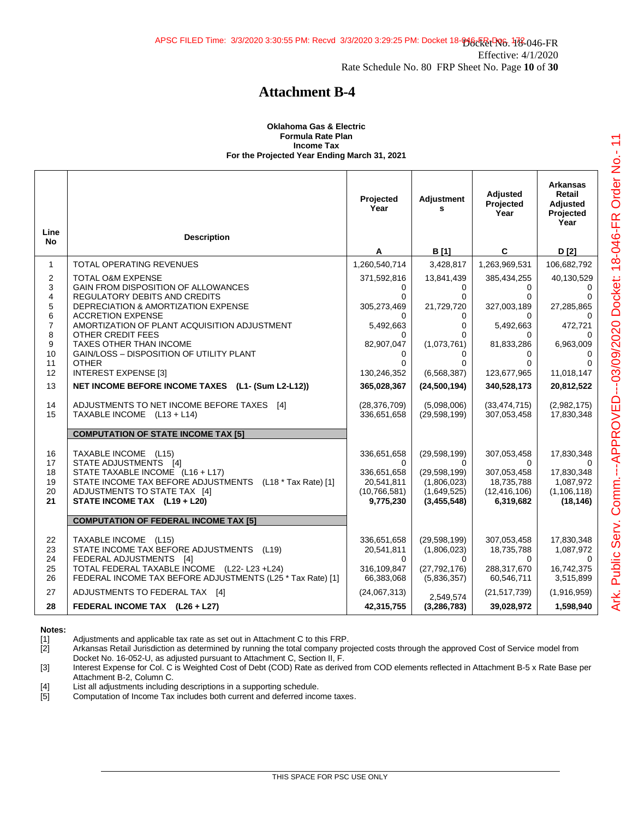#### **Oklahoma Gas & Electric Formula Rate Plan Income Tax For the Projected Year Ending March 31, 2021**

| Line<br><b>No</b>           | <b>Description</b>                                                                                                                                 | Projected<br>Year                    | Adjustment<br>s                              | Adjusted<br>Projected<br>Year               | <b>Arkansas</b><br>Retail<br>Adjusted<br>Projected<br>Year |
|-----------------------------|----------------------------------------------------------------------------------------------------------------------------------------------------|--------------------------------------|----------------------------------------------|---------------------------------------------|------------------------------------------------------------|
|                             |                                                                                                                                                    | A                                    | <b>B</b> [1]                                 | C                                           | D [2]                                                      |
| $\mathbf{1}$                | TOTAL OPERATING REVENUES                                                                                                                           | 1,260,540,714                        | 3,428,817                                    | 1,263,969,531                               | 106,682,792                                                |
| $\mathbf{2}$<br>3<br>4<br>5 | <b>TOTAL O&amp;M EXPENSE</b><br>GAIN FROM DISPOSITION OF ALLOWANCES<br><b>REGULATORY DEBITS AND CREDITS</b><br>DEPRECIATION & AMORTIZATION EXPENSE | 371,592,816<br>0<br>0<br>305,273,469 | 13,841,439<br>0<br>$\mathbf 0$<br>21,729,720 | 385,434,255<br>$\Omega$<br>0<br>327,003,189 | 40,130,529<br>0<br>27,285,865                              |
| $\,6$                       | <b>ACCRETION EXPENSE</b>                                                                                                                           |                                      | 0                                            | 0                                           |                                                            |
| $\overline{7}$<br>8         | AMORTIZATION OF PLANT ACQUISITION ADJUSTMENT<br>OTHER CREDIT FEES                                                                                  | 5,492,663                            | 0<br>0                                       | 5,492,663                                   | 472,721                                                    |
| 9<br>10<br>11               | TAXES OTHER THAN INCOME<br>GAIN/LOSS - DISPOSITION OF UTILITY PLANT<br><b>OTHER</b>                                                                | 0<br>82,907,047<br>0<br>0            | (1,073,761)<br>0<br>0                        | 81,833,286<br>0<br><sup>0</sup>             | 6,963,009                                                  |
| 12                          | <b>INTEREST EXPENSE [3]</b>                                                                                                                        | 130,246,352                          | (6, 568, 387)                                | 123,677,965                                 | 11,018,147                                                 |
| 13                          | NET INCOME BEFORE INCOME TAXES (L1- (Sum L2-L12))                                                                                                  | 365,028,367                          | (24, 500, 194)                               | 340,528,173                                 | 20,812,522                                                 |
| 14<br>15                    | ADJUSTMENTS TO NET INCOME BEFORE TAXES [4]<br>TAXABLE INCOME (L13 + L14)                                                                           | (28, 376, 709)<br>336,651,658        | (5.098,006)<br>(29, 598, 199)                | (33, 474, 715)<br>307,053,458               | (2,982,175)<br>17,830,348                                  |
|                             | <b>COMPUTATION OF STATE INCOME TAX [5]</b>                                                                                                         |                                      |                                              |                                             |                                                            |
| 16<br>17                    | TAXABLE INCOME (L15)<br>STATE ADJUSTMENTS [4]                                                                                                      | 336,651,658<br>0                     | (29, 598, 199)<br>$\Omega$                   | 307,053,458<br>0                            | 17,830,348<br>∩                                            |
| 18<br>19                    | STATE TAXABLE INCOME (L16 + L17)<br>STATE INCOME TAX BEFORE ADJUSTMENTS (L18 * Tax Rate) [1]                                                       | 336,651,658<br>20,541,811            | (29, 598, 199)<br>(1,806,023)                | 307,053,458<br>18,735,788                   | 17,830,348<br>1,087,972                                    |
| 20<br>21                    | ADJUSTMENTS TO STATE TAX [4]<br>STATE INCOME TAX (L19 + L20)                                                                                       | (10, 766, 581)<br>9,775,230          | (1,649,525)<br>(3,455,548)                   | (12, 416, 106)<br>6,319,682                 | (1, 106, 118)<br>(18, 146)                                 |
|                             | <b>COMPUTATION OF FEDERAL INCOME TAX [5]</b>                                                                                                       |                                      |                                              |                                             |                                                            |
| 22<br>23<br>24              | TAXABLE INCOME (L15)<br>STATE INCOME TAX BEFORE ADJUSTMENTS (L19)<br>FEDERAL ADJUSTMENTS [4]                                                       | 336,651,658<br>20,541,811<br>0       | (29, 598, 199)<br>(1,806,023)<br>0           | 307,053,458<br>18,735,788<br>$\Omega$       | 17,830,348<br>1,087,972                                    |
| 25<br>26                    | TOTAL FEDERAL TAXABLE INCOME (L22-L23 +L24)<br>FEDERAL INCOME TAX BEFORE ADJUSTMENTS (L25 * Tax Rate) [1]                                          | 316,109,847<br>66,383,068            | (27, 792, 176)<br>(5,836,357)                | 288,317,670<br>60,546,711                   | 16,742,375<br>3,515,899                                    |
| 27                          | ADJUSTMENTS TO FEDERAL TAX [4]                                                                                                                     | (24,067,313)                         | 2.549.574                                    | (21, 517, 739)                              | (1,916,959)                                                |
| 28                          | FEDERAL INCOME TAX (L26 + L27)                                                                                                                     | 42,315,755                           | (3, 286, 783)                                | 39,028,972                                  | 1,598,940                                                  |

**Notes:**

[1] Adjustments and applicable tax rate as set out in Attachment C to this FRP.<br>[2] Arkansas Retail Jurisdiction as determined by running the total company pro Arkansas Retail Jurisdiction as determined by running the total company projected costs through the approved Cost of Service model from Docket No. 16-052-U, as adjusted pursuant to Attachment C, Section II, F.

[3] Interest Expense for Col. C is Weighted Cost of Debt (COD) Rate as derived from COD elements reflected in Attachment B-5 x Rate Base per Attachment B-2, Column C.

[4] List all adjustments including descriptions in a supporting schedule.

[5] Computation of Income Tax includes both current and deferred income taxes.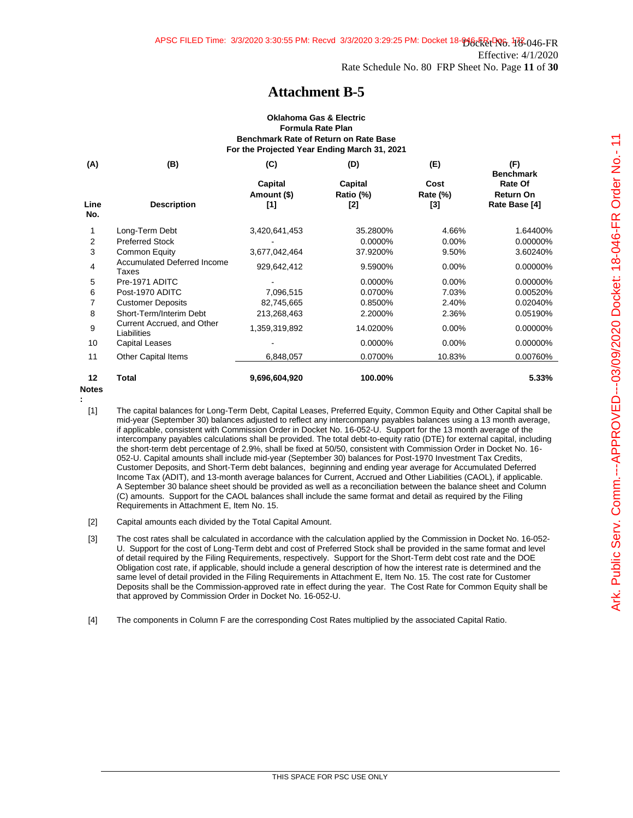#### **Oklahoma Gas & Electric Formula Rate Plan Benchmark Rate of Return on Rate Base For the Projected Year Ending March 31, 2021**

| (A)         | (B)                                         | (C)                           | (D)                         | (E)                                            | (F)<br><b>Benchmark</b>                      |
|-------------|---------------------------------------------|-------------------------------|-----------------------------|------------------------------------------------|----------------------------------------------|
| Line<br>No. | <b>Description</b>                          | Capital<br>Amount (\$)<br>[1] | Capital<br>Ratio (%)<br>[2] | Cost<br><b>Rate (%)</b><br>$\lbrack 3 \rbrack$ | Rate Of<br><b>Return On</b><br>Rate Base [4] |
|             | Long-Term Debt                              | 3,420,641,453                 | 35.2800%                    | 4.66%                                          | 1.64400%                                     |
| 2           | <b>Preferred Stock</b>                      |                               | 0.0000%                     | $0.00\%$                                       | 0.00000%                                     |
| 3           | Common Equity                               | 3,677,042,464                 | 37.9200%                    | 9.50%                                          | 3.60240%                                     |
| 4           | <b>Accumulated Deferred Income</b><br>Taxes | 929,642,412                   | 9.5900%                     | $0.00\%$                                       | 0.00000%                                     |
| 5           | Pre-1971 ADITC                              |                               | 0.0000%                     | $0.00\%$                                       | 0.00000%                                     |
| 6           | Post-1970 ADITC                             | 7,096,515                     | 0.0700%                     | 7.03%                                          | 0.00520%                                     |
| 7           | <b>Customer Deposits</b>                    | 82,745,665                    | 0.8500%                     | 2.40%                                          | 0.02040%                                     |
| 8           | Short-Term/Interim Debt                     | 213,268,463                   | 2.2000%                     | 2.36%                                          | 0.05190%                                     |
| 9           | Current Accrued, and Other<br>Liabilities   | 1,359,319,892                 | 14.0200%                    | $0.00\%$                                       | 0.00000%                                     |
| 10          | Capital Leases                              |                               | 0.0000%                     | 0.00%                                          | 0.00000%                                     |
| 11          | <b>Other Capital Items</b>                  | 6,848,057                     | 0.0700%                     | 10.83%                                         | 0.00760%                                     |
| 12          | Total                                       | 9,696,604,920                 | 100.00%                     |                                                | 5.33%                                        |

**Notes :**

- [2] Capital amounts each divided by the Total Capital Amount.
- [3] The cost rates shall be calculated in accordance with the calculation applied by the Commission in Docket No. 16-052- U. Support for the cost of Long-Term debt and cost of Preferred Stock shall be provided in the same format and level of detail required by the Filing Requirements, respectively. Support for the Short-Term debt cost rate and the DOE Obligation cost rate, if applicable, should include a general description of how the interest rate is determined and the same level of detail provided in the Filing Requirements in Attachment E, Item No. 15. The cost rate for Customer Deposits shall be the Commission-approved rate in effect during the year. The Cost Rate for Common Equity shall be that approved by Commission Order in Docket No. 16-052-U.

[4] The components in Column F are the corresponding Cost Rates multiplied by the associated Capital Ratio.

<sup>[1]</sup> The capital balances for Long-Term Debt, Capital Leases, Preferred Equity, Common Equity and Other Capital shall be mid-year (September 30) balances adjusted to reflect any intercompany payables balances using a 13 month average, if applicable, consistent with Commission Order in Docket No. 16-052-U. Support for the 13 month average of the intercompany payables calculations shall be provided. The total debt-to-equity ratio (DTE) for external capital, including the short-term debt percentage of 2.9%, shall be fixed at 50/50, consistent with Commission Order in Docket No. 16- 052-U. Capital amounts shall include mid-year (September 30) balances for Post-1970 Investment Tax Credits, Customer Deposits, and Short-Term debt balances, beginning and ending year average for Accumulated Deferred Income Tax (ADIT), and 13-month average balances for Current, Accrued and Other Liabilities (CAOL), if applicable. A September 30 balance sheet should be provided as well as a reconciliation between the balance sheet and Column (C) amounts. Support for the CAOL balances shall include the same format and detail as required by the Filing Requirements in Attachment E, Item No. 15.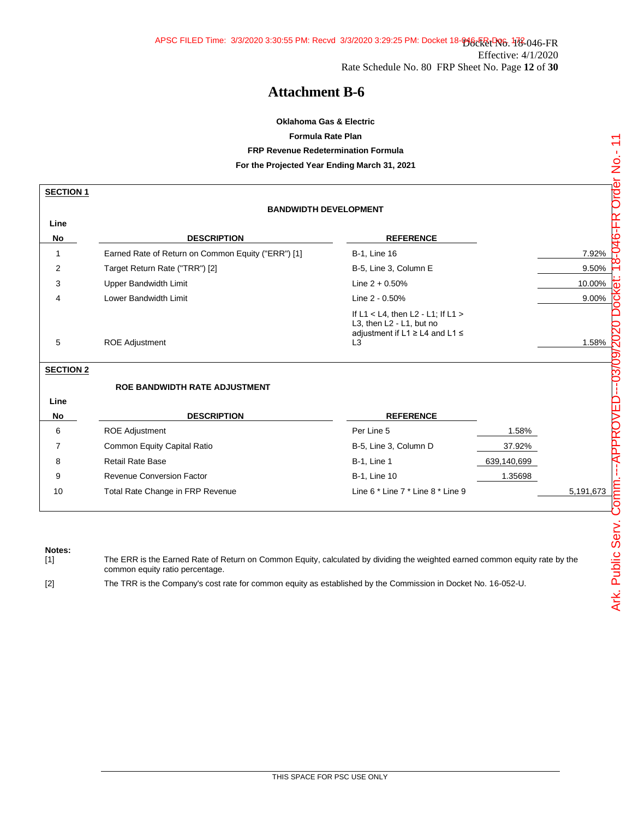## **Oklahoma Gas & Electric Formula Rate Plan FRP Revenue Redetermination Formula For the Projected Year Ending March 31, 2021**

| <b>SECTION 1</b> |                                                    |                                                                                                                                   |             |           |
|------------------|----------------------------------------------------|-----------------------------------------------------------------------------------------------------------------------------------|-------------|-----------|
|                  | <b>BANDWIDTH DEVELOPMENT</b>                       |                                                                                                                                   |             |           |
| Line             |                                                    |                                                                                                                                   |             |           |
| No               | <b>DESCRIPTION</b>                                 | <b>REFERENCE</b>                                                                                                                  |             |           |
| 1                | Earned Rate of Return on Common Equity ("ERR") [1] | <b>B-1, Line 16</b>                                                                                                               |             | 7.92%     |
| 2                | Target Return Rate ("TRR") [2]                     | B-5, Line 3, Column E                                                                                                             |             | 9.50%     |
| 3                | Upper Bandwidth Limit                              | Line $2 + 0.50%$                                                                                                                  |             | 10.00%    |
| 4                | <b>Lower Bandwidth Limit</b>                       | Line 2 - 0.50%                                                                                                                    |             | 9.00%     |
| 5                | <b>ROE Adjustment</b>                              | If $L1 < L4$ , then $L2 - L1$ ; If $L1 >$<br>L3, then L2 - L1, but no<br>adjustment if L1 $\ge$ L4 and L1 $\le$<br>L <sub>3</sub> |             | 1.58%     |
| <b>SECTION 2</b> |                                                    |                                                                                                                                   |             |           |
|                  | <b>ROE BANDWIDTH RATE ADJUSTMENT</b>               |                                                                                                                                   |             |           |
| Line             |                                                    |                                                                                                                                   |             |           |
| No               | <b>DESCRIPTION</b>                                 | <b>REFERENCE</b>                                                                                                                  |             |           |
| 6                | <b>ROE Adjustment</b>                              | Per Line 5                                                                                                                        | 1.58%       |           |
| 7                | Common Equity Capital Ratio                        | B-5, Line 3, Column D                                                                                                             | 37.92%      |           |
| 8                | <b>Retail Rate Base</b>                            | <b>B-1, Line 1</b>                                                                                                                | 639,140,699 |           |
| 9                | <b>Revenue Conversion Factor</b>                   | <b>B-1, Line 10</b>                                                                                                               | 1.35698     |           |
| 10               | Total Rate Change in FRP Revenue                   | Line 6 * Line 7 * Line 8 * Line 9                                                                                                 |             | 5,191,673 |

**Notes:**

The ERR is the Earned Rate of Return on Common Equity, calculated by dividing the weighted earned common equity rate by the common equity ratio percentage.

[2] The TRR is the Company's cost rate for common equity as established by the Commission in Docket No. 16-052-U.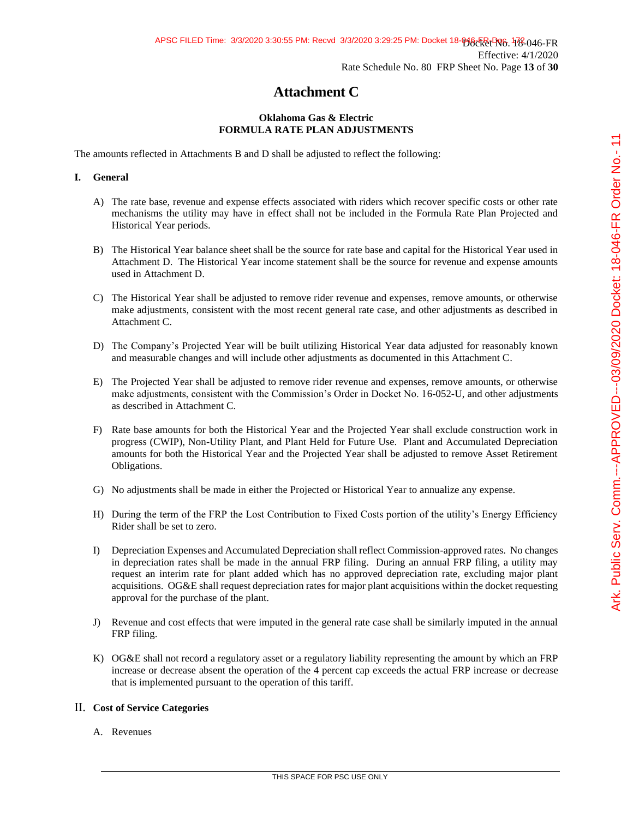# **Attachment C**

### **Oklahoma Gas & Electric FORMULA RATE PLAN ADJUSTMENTS**

The amounts reflected in Attachments B and D shall be adjusted to reflect the following:

### **I. General**

- A) The rate base, revenue and expense effects associated with riders which recover specific costs or other rate mechanisms the utility may have in effect shall not be included in the Formula Rate Plan Projected and Historical Year periods.
- B) The Historical Year balance sheet shall be the source for rate base and capital for the Historical Year used in Attachment D. The Historical Year income statement shall be the source for revenue and expense amounts used in Attachment D.
- C) The Historical Year shall be adjusted to remove rider revenue and expenses, remove amounts, or otherwise make adjustments, consistent with the most recent general rate case, and other adjustments as described in Attachment C.
- D) The Company's Projected Year will be built utilizing Historical Year data adjusted for reasonably known and measurable changes and will include other adjustments as documented in this Attachment C.
- E) The Projected Year shall be adjusted to remove rider revenue and expenses, remove amounts, or otherwise make adjustments, consistent with the Commission's Order in Docket No. 16-052-U, and other adjustments as described in Attachment C.
- F) Rate base amounts for both the Historical Year and the Projected Year shall exclude construction work in progress (CWIP), Non-Utility Plant, and Plant Held for Future Use. Plant and Accumulated Depreciation amounts for both the Historical Year and the Projected Year shall be adjusted to remove Asset Retirement Obligations.
- G) No adjustments shall be made in either the Projected or Historical Year to annualize any expense.
- H) During the term of the FRP the Lost Contribution to Fixed Costs portion of the utility's Energy Efficiency Rider shall be set to zero.
- I) Depreciation Expenses and Accumulated Depreciation shall reflect Commission-approved rates. No changes in depreciation rates shall be made in the annual FRP filing. During an annual FRP filing, a utility may request an interim rate for plant added which has no approved depreciation rate, excluding major plant acquisitions. OG&E shall request depreciation rates for major plant acquisitions within the docket requesting approval for the purchase of the plant.
- J) Revenue and cost effects that were imputed in the general rate case shall be similarly imputed in the annual FRP filing.
- K) OG&E shall not record a regulatory asset or a regulatory liability representing the amount by which an FRP increase or decrease absent the operation of the 4 percent cap exceeds the actual FRP increase or decrease that is implemented pursuant to the operation of this tariff.

### II. **Cost of Service Categories**

A. Revenues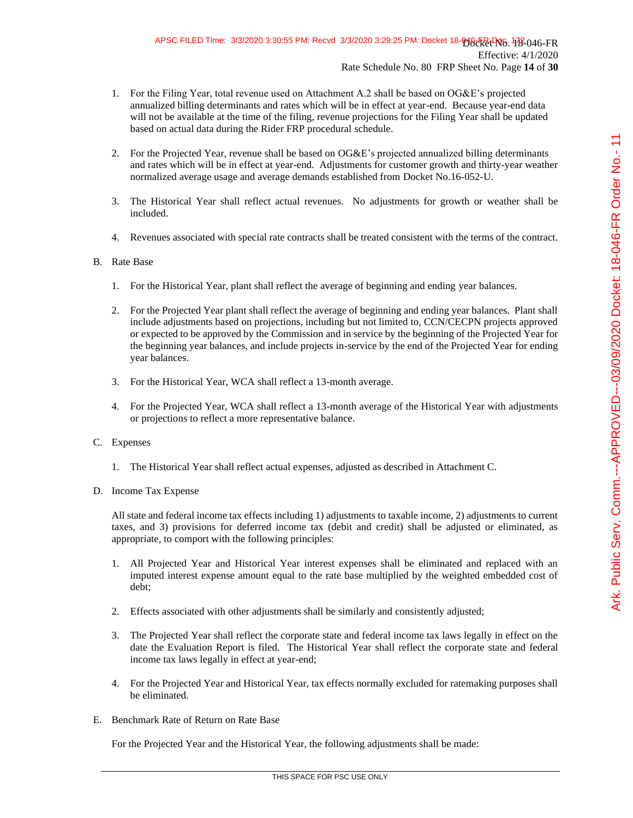- 1. For the Filing Year, total revenue used on Attachment A.2 shall be based on OG&E's projected annualized billing determinants and rates which will be in effect at year-end. Because year-end data will not be available at the time of the filing, revenue projections for the Filing Year shall be updated based on actual data during the Rider FRP procedural schedule.
- 2. For the Projected Year, revenue shall be based on OG&E's projected annualized billing determinants and rates which will be in effect at year-end. Adjustments for customer growth and thirty-year weather normalized average usage and average demands established from Docket No.16-052-U.
- 3. The Historical Year shall reflect actual revenues. No adjustments for growth or weather shall be included.
- 4. Revenues associated with special rate contracts shall be treated consistent with the terms of the contract.

## B. Rate Base

- 1. For the Historical Year, plant shall reflect the average of beginning and ending year balances.
- 2. For the Projected Year plant shall reflect the average of beginning and ending year balances. Plant shall include adjustments based on projections, including but not limited to, CCN/CECPN projects approved or expected to be approved by the Commission and in service by the beginning of the Projected Year for the beginning year balances, and include projects in-service by the end of the Projected Year for ending year balances.
- 3. For the Historical Year, WCA shall reflect a 13-month average.
- 4. For the Projected Year, WCA shall reflect a 13-month average of the Historical Year with adjustments or projections to reflect a more representative balance.

### C. Expenses

- 1. The Historical Year shall reflect actual expenses, adjusted as described in Attachment C.
- D. Income Tax Expense

All state and federal income tax effects including 1) adjustments to taxable income, 2) adjustments to current taxes, and 3) provisions for deferred income tax (debit and credit) shall be adjusted or eliminated, as appropriate, to comport with the following principles:

- 1. All Projected Year and Historical Year interest expenses shall be eliminated and replaced with an imputed interest expense amount equal to the rate base multiplied by the weighted embedded cost of debt;
- 2. Effects associated with other adjustments shall be similarly and consistently adjusted;
- 3. The Projected Year shall reflect the corporate state and federal income tax laws legally in effect on the date the Evaluation Report is filed. The Historical Year shall reflect the corporate state and federal income tax laws legally in effect at year-end;
- 4. For the Projected Year and Historical Year, tax effects normally excluded for ratemaking purposes shall be eliminated.
- E. Benchmark Rate of Return on Rate Base

For the Projected Year and the Historical Year, the following adjustments shall be made: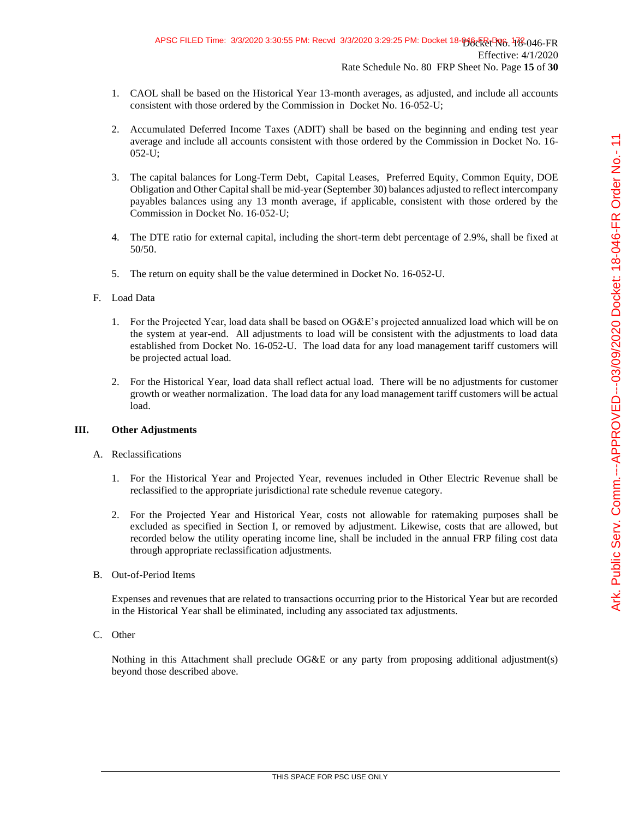- 1. CAOL shall be based on the Historical Year 13-month averages, as adjusted, and include all accounts consistent with those ordered by the Commission in Docket No. 16-052-U;
- 2. Accumulated Deferred Income Taxes (ADIT) shall be based on the beginning and ending test year average and include all accounts consistent with those ordered by the Commission in Docket No. 16- 052-U;
- 3. The capital balances for Long-Term Debt, Capital Leases, Preferred Equity, Common Equity, DOE Obligation and Other Capital shall be mid-year (September 30) balances adjusted to reflect intercompany payables balances using any 13 month average, if applicable, consistent with those ordered by the Commission in Docket No. 16-052-U;
- 4. The DTE ratio for external capital, including the short-term debt percentage of 2.9%, shall be fixed at 50/50.
- 5. The return on equity shall be the value determined in Docket No. 16-052-U.

### F. Load Data

- 1. For the Projected Year, load data shall be based on OG&E's projected annualized load which will be on the system at year-end. All adjustments to load will be consistent with the adjustments to load data established from Docket No. 16-052-U. The load data for any load management tariff customers will be projected actual load.
- 2. For the Historical Year, load data shall reflect actual load. There will be no adjustments for customer growth or weather normalization. The load data for any load management tariff customers will be actual load.

#### **III. Other Adjustments**

#### A. Reclassifications

- 1. For the Historical Year and Projected Year, revenues included in Other Electric Revenue shall be reclassified to the appropriate jurisdictional rate schedule revenue category.
- 2. For the Projected Year and Historical Year, costs not allowable for ratemaking purposes shall be excluded as specified in Section I, or removed by adjustment. Likewise, costs that are allowed, but recorded below the utility operating income line, shall be included in the annual FRP filing cost data through appropriate reclassification adjustments.
- B. Out-of-Period Items

Expenses and revenues that are related to transactions occurring prior to the Historical Year but are recorded in the Historical Year shall be eliminated, including any associated tax adjustments.

C. Other

Nothing in this Attachment shall preclude OG&E or any party from proposing additional adjustment(s) beyond those described above.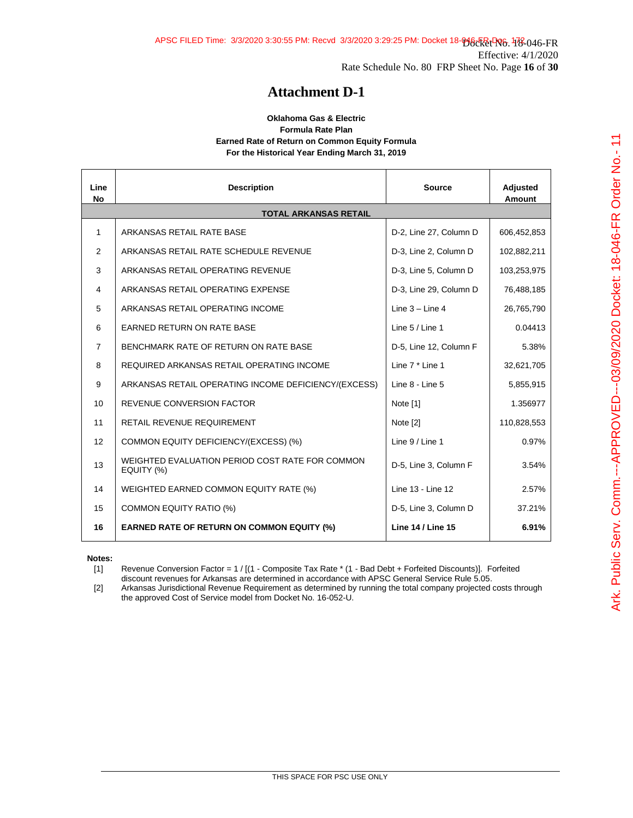#### **Oklahoma Gas & Electric Formula Rate Plan Earned Rate of Return on Common Equity Formula For the Historical Year Ending March 31, 2019**

| Line<br><b>No</b> | <b>Description</b>                                            | <b>Source</b>            | <b>Adjusted</b><br>Amount |
|-------------------|---------------------------------------------------------------|--------------------------|---------------------------|
|                   | <b>TOTAL ARKANSAS RETAIL</b>                                  |                          |                           |
| $\mathbf{1}$      | ARKANSAS RETAIL RATE BASE                                     | D-2, Line 27, Column D   | 606,452,853               |
| 2                 | ARKANSAS RETAIL RATE SCHEDULE REVENUE                         | D-3, Line 2, Column D    | 102,882,211               |
| 3                 | ARKANSAS RETAIL OPERATING REVENUE                             | D-3, Line 5, Column D    | 103,253,975               |
| 4                 | ARKANSAS RETAIL OPERATING EXPENSE                             | D-3, Line 29, Column D   | 76,488,185                |
| 5                 | ARKANSAS RETAIL OPERATING INCOME                              | Line $3 -$ Line 4        | 26,765,790                |
| 6                 | <b>EARNED RETURN ON RATE BASE</b>                             | Line 5 / Line 1          | 0.04413                   |
| $\overline{7}$    | BENCHMARK RATE OF RETURN ON RATE BASE                         | D-5, Line 12, Column F   | 5.38%                     |
| 8                 | REQUIRED ARKANSAS RETAIL OPERATING INCOME                     | Line 7 * Line 1          | 32,621,705                |
| 9                 | ARKANSAS RETAIL OPERATING INCOME DEFICIENCY/(EXCESS)          | Line 8 - Line 5          | 5,855,915                 |
| 10                | <b>REVENUE CONVERSION FACTOR</b>                              | Note [1]                 | 1.356977                  |
| 11                | RETAIL REVENUE REQUIREMENT                                    | Note [2]                 | 110,828,553               |
| 12                | COMMON EQUITY DEFICIENCY/(EXCESS) (%)                         | Line 9 / Line 1          | 0.97%                     |
| 13                | WEIGHTED EVALUATION PERIOD COST RATE FOR COMMON<br>EQUITY (%) | D-5, Line 3, Column F    | 3.54%                     |
| 14                | WEIGHTED EARNED COMMON EQUITY RATE (%)                        | Line 13 - Line 12        | 2.57%                     |
| 15                | <b>COMMON EQUITY RATIO (%)</b>                                | D-5, Line 3, Column D    | 37.21%                    |
| 16                | <b>EARNED RATE OF RETURN ON COMMON EQUITY (%)</b>             | <b>Line 14 / Line 15</b> | 6.91%                     |

**Notes:**

[1] Revenue Conversion Factor = 1 / [(1 - Composite Tax Rate \* (1 - Bad Debt + Forfeited Discounts)]. Forfeited discount revenues for Arkansas are determined in accordance with APSC General Service Rule 5.05.

[2] Arkansas Jurisdictional Revenue Requirement as determined by running the total company projected costs through the approved Cost of Service model from Docket No. 16-052-U.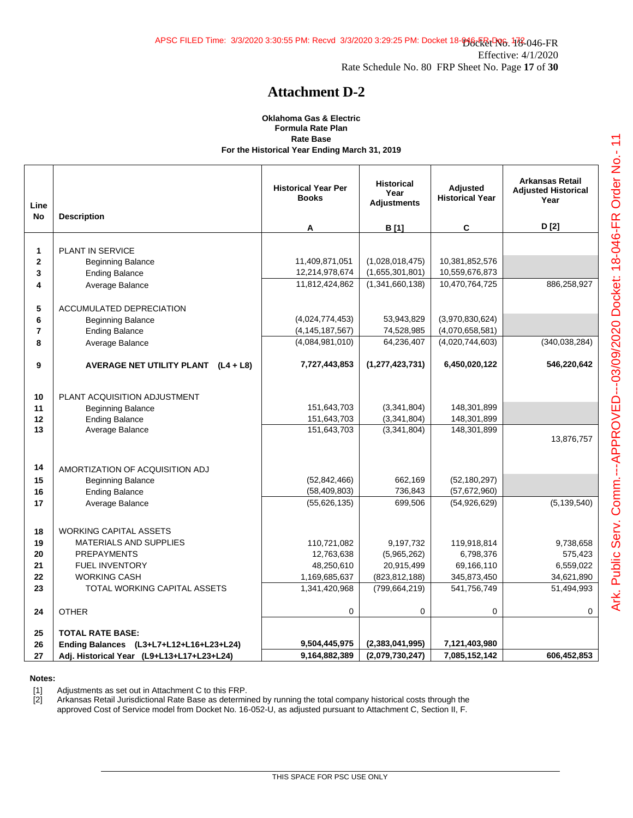#### **Oklahoma Gas & Electric Formula Rate Plan Rate Base For the Historical Year Ending March 31, 2019**

| Line<br><b>No</b> | <b>Description</b>                                | <b>Historical Year Per</b><br><b>Books</b> | <b>Historical</b><br>Year<br><b>Adjustments</b> | <b>Adjusted</b><br><b>Historical Year</b> | <b>Arkansas Retail</b><br><b>Adiusted Historical</b><br>Year |
|-------------------|---------------------------------------------------|--------------------------------------------|-------------------------------------------------|-------------------------------------------|--------------------------------------------------------------|
|                   |                                                   | A                                          | B [1]                                           | C                                         | D[2]                                                         |
|                   |                                                   |                                            |                                                 |                                           |                                                              |
| 1                 | <b>PLANT IN SERVICE</b>                           |                                            |                                                 |                                           |                                                              |
| $\mathbf 2$       | <b>Beginning Balance</b>                          | 11,409,871,051                             | (1,028,018,475)                                 | 10,381,852,576                            |                                                              |
| 3                 | <b>Ending Balance</b>                             | 12,214,978,674                             | (1,655,301,801)                                 | 10,559,676,873                            |                                                              |
| 4                 | Average Balance                                   | 11,812,424,862                             | (1,341,660,138)                                 | 10,470,764,725                            | 886,258,927                                                  |
|                   |                                                   |                                            |                                                 |                                           |                                                              |
| 5<br>6            | ACCUMULATED DEPRECIATION                          | (4,024,774,453)                            | 53,943,829                                      | (3,970,830,624)                           |                                                              |
| $\overline{7}$    | <b>Beginning Balance</b><br><b>Ending Balance</b> | (4, 145, 187, 567)                         | 74,528,985                                      | (4,070,658,581)                           |                                                              |
| 8                 |                                                   | (4,084,981,010)                            | 64,236,407                                      | (4,020,744,603)                           | (340, 038, 284)                                              |
|                   | Average Balance                                   |                                            |                                                 |                                           |                                                              |
| 9                 | AVERAGE NET UTILITY PLANT (L4 + L8)               | 7,727,443,853                              | (1, 277, 423, 731)                              | 6,450,020,122                             | 546,220,642                                                  |
|                   |                                                   |                                            |                                                 |                                           |                                                              |
|                   |                                                   |                                            |                                                 |                                           |                                                              |
| 10                | PLANT ACQUISITION ADJUSTMENT                      |                                            |                                                 |                                           |                                                              |
| 11                | <b>Beginning Balance</b>                          | 151,643,703                                | (3,341,804)                                     | 148,301,899                               |                                                              |
| 12<br>13          | <b>Ending Balance</b>                             | 151,643,703                                | (3,341,804)                                     | 148,301,899                               |                                                              |
|                   | Average Balance                                   | 151,643,703                                | (3,341,804)                                     | 148,301,899                               | 13,876,757                                                   |
|                   |                                                   |                                            |                                                 |                                           |                                                              |
|                   |                                                   |                                            |                                                 |                                           |                                                              |
| 14                | AMORTIZATION OF ACQUISITION ADJ                   |                                            |                                                 |                                           |                                                              |
| 15                | <b>Beginning Balance</b>                          | (52, 842, 466)                             | 662,169                                         | (52, 180, 297)                            |                                                              |
| 16                | <b>Ending Balance</b>                             | (58, 409, 803)                             | 736,843                                         | (57,672,960)                              |                                                              |
| 17                | Average Balance                                   | (55, 626, 135)                             | 699,506                                         | (54, 926, 629)                            | (5, 139, 540)                                                |
|                   |                                                   |                                            |                                                 |                                           |                                                              |
| 18                | <b>WORKING CAPITAL ASSETS</b>                     |                                            |                                                 |                                           |                                                              |
| 19                | <b>MATERIALS AND SUPPLIES</b>                     | 110,721,082                                | 9,197,732                                       | 119,918,814                               | 9,738,658                                                    |
| 20                | <b>PREPAYMENTS</b>                                | 12,763,638                                 | (5,965,262)                                     | 6,798,376                                 | 575,423                                                      |
| 21                | <b>FUEL INVENTORY</b>                             | 48,250,610                                 | 20,915,499                                      | 69,166,110                                | 6,559,022                                                    |
| 22                | <b>WORKING CASH</b>                               | 1,169,685,637                              | (823, 812, 188)                                 | 345,873,450                               | 34,621,890                                                   |
| 23                | TOTAL WORKING CAPITAL ASSETS                      | 1,341,420,968                              | (799, 664, 219)                                 | 541,756,749                               | 51,494,993                                                   |
|                   |                                                   |                                            |                                                 |                                           |                                                              |
| 24                | <b>OTHER</b>                                      | 0                                          | 0                                               | 0                                         | 0                                                            |
| 25                | <b>TOTAL RATE BASE:</b>                           |                                            |                                                 |                                           |                                                              |
| 26                | Ending Balances (L3+L7+L12+L16+L23+L24)           | 9,504,445,975                              | (2,383,041,995)                                 | 7,121,403,980                             |                                                              |
| 27                | Adj. Historical Year (L9+L13+L17+L23+L24)         | 9,164,882,389                              | (2,079,730,247)                                 | 7,085,152,142                             | 606,452,853                                                  |
|                   |                                                   |                                            |                                                 |                                           |                                                              |

#### **Notes:**

[1] Adjustments as set out in Attachment C to this FRP.<br>[2] Arkansas Retail Jurisdictional Rate Base as determine

Arkansas Retail Jurisdictional Rate Base as determined by running the total company historical costs through the approved Cost of Service model from Docket No. 16-052-U, as adjusted pursuant to Attachment C, Section II, F.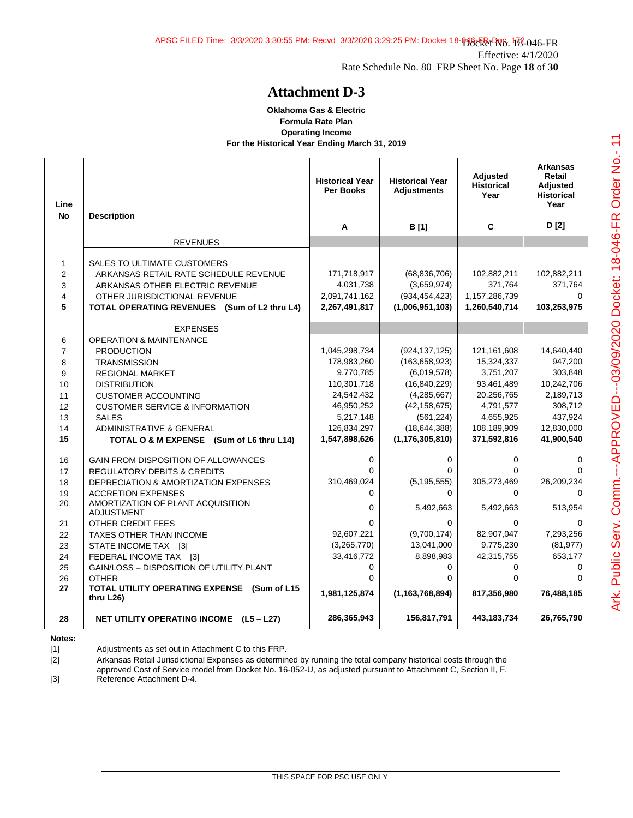#### **Oklahoma Gas & Electric Formula Rate Plan Operating Income For the Historical Year Ending March 31, 2019**

| Line           |                                                                              | <b>Historical Year</b><br><b>Per Books</b> | <b>Historical Year</b><br><b>Adiustments</b> | Adjusted<br><b>Historical</b><br>Year | <b>Arkansas</b><br>Retail<br>Adjusted<br><b>Historical</b><br>Year |
|----------------|------------------------------------------------------------------------------|--------------------------------------------|----------------------------------------------|---------------------------------------|--------------------------------------------------------------------|
| <b>No</b>      | <b>Description</b>                                                           | A                                          | B [1]                                        | C                                     | D [2]                                                              |
|                | <b>REVENUES</b>                                                              |                                            |                                              |                                       |                                                                    |
|                |                                                                              |                                            |                                              |                                       |                                                                    |
| $\mathbf{1}$   | SALES TO ULTIMATE CUSTOMERS                                                  |                                            |                                              |                                       |                                                                    |
| $\overline{2}$ | ARKANSAS RETAIL RATE SCHEDULE REVENUE                                        | 171,718,917                                | (68, 836, 706)                               | 102,882,211                           | 102,882,211                                                        |
| 3              | ARKANSAS OTHER ELECTRIC REVENUE                                              | 4,031,738                                  | (3,659,974)                                  | 371,764                               | 371,764<br>0                                                       |
| 4<br>5         | OTHER JURISDICTIONAL REVENUE<br>TOTAL OPERATING REVENUES (Sum of L2 thru L4) | 2,091,741,162<br>2,267,491,817             | (934, 454, 423)<br>(1,006,951,103)           | 1,157,286,739<br>1,260,540,714        | 103,253,975                                                        |
|                |                                                                              |                                            |                                              |                                       |                                                                    |
|                | <b>EXPENSES</b>                                                              |                                            |                                              |                                       |                                                                    |
| 6              | <b>OPERATION &amp; MAINTENANCE</b>                                           |                                            |                                              |                                       |                                                                    |
| $\overline{7}$ | <b>PRODUCTION</b>                                                            | 1,045,298,734                              | (924, 137, 125)                              | 121,161,608                           | 14,640,440                                                         |
| 8              | <b>TRANSMISSION</b>                                                          | 178,983,260                                | (163, 658, 923)                              | 15,324,337                            | 947,200                                                            |
| 9              | <b>REGIONAL MARKET</b>                                                       | 9,770,785                                  | (6,019,578)                                  | 3,751,207                             | 303,848                                                            |
| 10             | <b>DISTRIBUTION</b>                                                          | 110,301,718                                | (16, 840, 229)                               | 93,461,489                            | 10,242,706                                                         |
| 11             | <b>CUSTOMER ACCOUNTING</b>                                                   | 24,542,432                                 | (4, 285, 667)                                | 20,256,765                            | 2,189,713                                                          |
| 12             | <b>CUSTOMER SERVICE &amp; INFORMATION</b>                                    | 46,950,252                                 | (42, 158, 675)                               | 4,791,577                             | 308,712                                                            |
| 13             | <b>SALES</b>                                                                 | 5,217,148                                  | (561, 224)                                   | 4,655,925                             | 437,924                                                            |
| 14             | <b>ADMINISTRATIVE &amp; GENERAL</b>                                          | 126,834,297                                | (18, 644, 388)                               | 108,189,909                           | 12,830,000                                                         |
| 15             | TOTAL O & M EXPENSE (Sum of L6 thru L14)                                     | 1,547,898,626                              | (1, 176, 305, 810)                           | 371,592,816                           | 41,900,540                                                         |
| 16             | <b>GAIN FROM DISPOSITION OF ALLOWANCES</b>                                   | $\Omega$                                   | 0                                            | 0                                     | 0                                                                  |
| 17             | <b>REGULATORY DEBITS &amp; CREDITS</b>                                       | $\Omega$                                   | $\Omega$                                     | 0                                     | $\Omega$                                                           |
| 18             | DEPRECIATION & AMORTIZATION EXPENSES                                         | 310,469,024                                | (5, 195, 555)                                | 305,273,469                           | 26,209,234                                                         |
| 19             | <b>ACCRETION EXPENSES</b>                                                    | $\Omega$                                   | $\Omega$                                     | $\Omega$                              | $\Omega$                                                           |
| 20             | AMORTIZATION OF PLANT ACQUISITION<br><b>ADJUSTMENT</b>                       | 0                                          | 5,492,663                                    | 5,492,663                             | 513,954                                                            |
| 21             | OTHER CREDIT FEES                                                            | $\Omega$                                   | $\Omega$                                     | 0                                     | $\Omega$                                                           |
| 22             | TAXES OTHER THAN INCOME                                                      | 92,607,221                                 | (9,700,174)                                  | 82,907,047                            | 7,293,256                                                          |
| 23             | STATE INCOME TAX [3]                                                         | (3,265,770)                                | 13,041,000                                   | 9,775,230                             | (81, 977)                                                          |
| 24             | FEDERAL INCOME TAX [3]                                                       | 33,416,772                                 | 8,898,983                                    | 42,315,755                            | 653,177                                                            |
| 25             | GAIN/LOSS - DISPOSITION OF UTILITY PLANT                                     | $\Omega$                                   | $\Omega$                                     | 0                                     | 0                                                                  |
| 26             | <b>OTHER</b>                                                                 | $\Omega$                                   | $\Omega$                                     | $\Omega$                              | $\Omega$                                                           |
| 27             | TOTAL UTILITY OPERATING EXPENSE (Sum of L15<br>thru L26)                     | 1,981,125,874                              | (1, 163, 768, 894)                           | 817,356,980                           | 76,488,185                                                         |
| 28             | <b>NET UTILITY OPERATING INCOME</b><br>$(L5 - L27)$                          | 286,365,943                                | 156,817,791                                  | 443,183,734                           | 26,765,790                                                         |

**Notes:**

[1] Adjustments as set out in Attachment C to this FRP.

[2] Arkansas Retail Jurisdictional Expenses as determined by running the total company historical costs through the approved Cost of Service model from Docket No. 16-052-U, as adjusted pursuant to Attachment C, Section II, F.

[3] Reference Attachment D-4.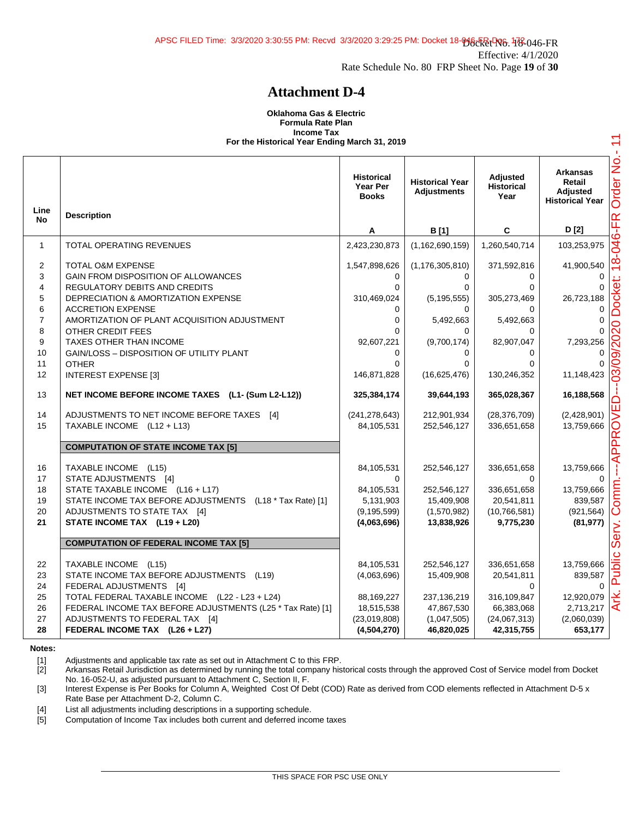#### **Oklahoma Gas & Electric Formula Rate Plan Income Tax For the Historical Year Ending March 31, 2019**

|                               |                                                                                                                                                                                  | <b>Historical</b><br>Year Per<br><b>Books</b>           | <b>Historical Year</b><br><b>Adjustments</b>                | <b>Adjusted</b><br><b>Historical</b><br>Year            | <b>Arkansas</b><br>Retail<br><b>Adjusted</b><br><b>Historical Year</b> |
|-------------------------------|----------------------------------------------------------------------------------------------------------------------------------------------------------------------------------|---------------------------------------------------------|-------------------------------------------------------------|---------------------------------------------------------|------------------------------------------------------------------------|
| Line<br><b>No</b>             | <b>Description</b>                                                                                                                                                               | Α                                                       | B [1]                                                       | C                                                       | D [2]                                                                  |
| $\mathbf{1}$                  | <b>TOTAL OPERATING REVENUES</b>                                                                                                                                                  | 2,423,230,873                                           | (1, 162, 690, 159)                                          | 1,260,540,714                                           | 103,253,975                                                            |
| $\overline{2}$<br>3<br>4<br>5 | <b>TOTAL O&amp;M EXPENSE</b><br>GAIN FROM DISPOSITION OF ALLOWANCES<br>REGULATORY DEBITS AND CREDITS<br>DEPRECIATION & AMORTIZATION EXPENSE                                      | 1,547,898,626<br>$\Omega$<br>$\Omega$<br>310,469,024    | (1, 176, 305, 810)<br>$\Omega$<br>$\Omega$<br>(5, 195, 555) | 371,592,816<br>$\Omega$<br>$\Omega$<br>305,273,469      | 41,900,540<br>26,723,188                                               |
| 6<br>$\overline{7}$<br>8<br>9 | <b>ACCRETION EXPENSE</b><br>AMORTIZATION OF PLANT ACQUISITION ADJUSTMENT<br><b>OTHER CREDIT FEES</b><br>TAXES OTHER THAN INCOME                                                  | 0<br>$\Omega$<br>$\Omega$<br>92,607,221                 | $\Omega$<br>5,492,663<br>$\Omega$<br>(9,700,174)            | $\Omega$<br>5,492,663<br>$\Omega$<br>82,907,047         | 0<br>0<br>7,293,256                                                    |
| 10<br>11<br>12                | <b>GAIN/LOSS - DISPOSITION OF UTILITY PLANT</b><br><b>OTHER</b><br><b>INTEREST EXPENSE [3]</b>                                                                                   | $\Omega$<br>$\Omega$<br>146,871,828                     | $\Omega$<br>$\Omega$<br>(16,625,476)                        | 0<br>0<br>130,246,352                                   | 11,148,423                                                             |
| 13                            | NET INCOME BEFORE INCOME TAXES (L1- (Sum L2-L12))                                                                                                                                | 325,384,174                                             | 39,644,193                                                  | 365,028,367                                             | 16,188,568                                                             |
| 14<br>15                      | ADJUSTMENTS TO NET INCOME BEFORE TAXES [4]<br>TAXABLE INCOME (L12 + L13)                                                                                                         | (241, 278, 643)<br>84,105,531                           | 212,901,934<br>252,546,127                                  | (28, 376, 709)<br>336,651,658                           | (2,428,901)<br>13,759,666                                              |
|                               | <b>COMPUTATION OF STATE INCOME TAX [5]</b>                                                                                                                                       |                                                         |                                                             |                                                         |                                                                        |
| 16<br>17                      | TAXABLE INCOME (L15)<br>STATE ADJUSTMENTS [4]                                                                                                                                    | 84,105,531<br>0                                         | 252,546,127                                                 | 336,651,658<br>$\Omega$                                 | 13,759,666<br>$\Omega$                                                 |
| 18<br>19<br>20<br>21          | STATE TAXABLE INCOME (L16 + L17)<br>STATE INCOME TAX BEFORE ADJUSTMENTS (L18 * Tax Rate) [1]<br>ADJUSTMENTS TO STATE TAX [4]<br>STATE INCOME TAX (L19 + L20)                     | 84,105,531<br>5,131,903<br>(9, 195, 599)<br>(4,063,696) | 252,546,127<br>15,409,908<br>(1,570,982)<br>13,838,926      | 336,651,658<br>20,541,811<br>(10,766,581)<br>9,775,230  | 13,759,666<br>839,587<br>(921, 564)<br>(81, 977)                       |
|                               | <b>COMPUTATION OF FEDERAL INCOME TAX [5]</b>                                                                                                                                     |                                                         |                                                             |                                                         |                                                                        |
| 22<br>23<br>24                | TAXABLE INCOME (L15)<br>STATE INCOME TAX BEFORE ADJUSTMENTS (L19)<br>FEDERAL ADJUSTMENTS [4]                                                                                     | 84,105,531<br>(4,063,696)                               | 252,546,127<br>15,409,908                                   | 336,651,658<br>20,541,811<br>$\Omega$                   | 13,759,666<br>839,587<br><sup>0</sup>                                  |
| 25<br>26<br>27<br>28          | TOTAL FEDERAL TAXABLE INCOME (L22 - L23 + L24)<br>FEDERAL INCOME TAX BEFORE ADJUSTMENTS (L25 * Tax Rate) [1]<br>ADJUSTMENTS TO FEDERAL TAX [4]<br>FEDERAL INCOME TAX (L26 + L27) | 88,169,227<br>18,515,538<br>(23,019,808)<br>(4,504,270) | 237,136,219<br>47,867,530<br>(1,047,505)<br>46,820,025      | 316,109,847<br>66,383,068<br>(24,067,313)<br>42,315,755 | 12,920,079<br>2,713,217<br>(2,060,039)<br>653,177                      |

#### **Notes:**

[1] Adjustments and applicable tax rate as set out in Attachment C to this FRP.

[2] Arkansas Retail Jurisdiction as determined by running the total company historical costs through the approved Cost of Service model from Docket No. 16-052-U, as adjusted pursuant to Attachment C, Section II, F.

[3] Interest Expense is Per Books for Column A, Weighted Cost Of Debt (COD) Rate as derived from COD elements reflected in Attachment D-5 x Rate Base per Attachment D-2, Column C.

[4] List all adjustments including descriptions in a supporting schedule.

[5] Computation of Income Tax includes both current and deferred income taxes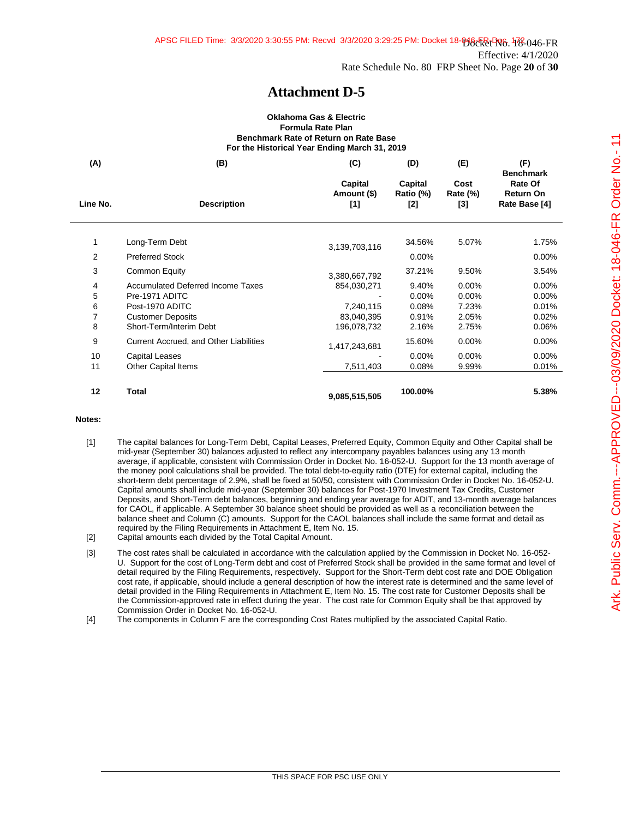#### **Oklahoma Gas & Electric Formula Rate Plan Benchmark Rate of Return on Rate Base For the Historical Year Ending March 31, 2019**

| (A)      | (B)                                                        | (C)                           | (D)                           | (E)                              | (F)                                                              |
|----------|------------------------------------------------------------|-------------------------------|-------------------------------|----------------------------------|------------------------------------------------------------------|
| Line No. | <b>Description</b>                                         | Capital<br>Amount (\$)<br>[1] | Capital<br>Ratio (%)<br>$[2]$ | Cost<br><b>Rate (%)</b><br>$[3]$ | <b>Benchmark</b><br>Rate Of<br><b>Return On</b><br>Rate Base [4] |
| 1        | Long-Term Debt                                             |                               | 34.56%                        | 5.07%                            | 1.75%                                                            |
| 2        | <b>Preferred Stock</b>                                     | 3,139,703,116                 | 0.00%                         |                                  | $0.00\%$                                                         |
| 3        | Common Equity                                              | 3,380,667,792                 | 37.21%                        | 9.50%                            | 3.54%                                                            |
| 4<br>5   | <b>Accumulated Deferred Income Taxes</b><br>Pre-1971 ADITC | 854,030,271                   | 9.40%<br>$0.00\%$             | 0.00%<br>$0.00\%$                | $0.00\%$<br>$0.00\%$                                             |
| 6        | Post-1970 ADITC                                            | 7,240,115                     | 0.08%                         | 7.23%                            | 0.01%                                                            |
| 7        | <b>Customer Deposits</b>                                   | 83,040,395                    | 0.91%                         | 2.05%                            | 0.02%                                                            |
| 8        | Short-Term/Interim Debt                                    | 196,078,732                   | 2.16%                         | 2.75%                            | 0.06%                                                            |
| 9        | Current Accrued, and Other Liabilities                     | 1,417,243,681                 | 15.60%                        | 0.00%                            | $0.00\%$                                                         |
| 10       | <b>Capital Leases</b>                                      |                               | 0.00%                         | 0.00%                            | 0.00%                                                            |
| 11       | <b>Other Capital Items</b>                                 | 7,511,403                     | 0.08%                         | 9.99%                            | 0.01%                                                            |
| 12       | Total                                                      | 9,085,515,505                 | 100.00%                       |                                  | 5.38%                                                            |

#### **Notes:**

- [1] The capital balances for Long-Term Debt, Capital Leases, Preferred Equity, Common Equity and Other Capital shall be mid-year (September 30) balances adjusted to reflect any intercompany payables balances using any 13 month average, if applicable, consistent with Commission Order in Docket No. 16-052-U. Support for the 13 month average of the money pool calculations shall be provided. The total debt-to-equity ratio (DTE) for external capital, including the short-term debt percentage of 2.9%, shall be fixed at 50/50, consistent with Commission Order in Docket No. 16-052-U. Capital amounts shall include mid-year (September 30) balances for Post-1970 Investment Tax Credits, Customer Deposits, and Short-Term debt balances, beginning and ending year average for ADIT, and 13-month average balances for CAOL, if applicable. A September 30 balance sheet should be provided as well as a reconciliation between the balance sheet and Column (C) amounts. Support for the CAOL balances shall include the same format and detail as required by the Filing Requirements in Attachment E, Item No. 15.
- [2] Capital amounts each divided by the Total Capital Amount.
- [3] The cost rates shall be calculated in accordance with the calculation applied by the Commission in Docket No. 16-052- U. Support for the cost of Long-Term debt and cost of Preferred Stock shall be provided in the same format and level of detail required by the Filing Requirements, respectively. Support for the Short-Term debt cost rate and DOE Obligation cost rate, if applicable, should include a general description of how the interest rate is determined and the same level of detail provided in the Filing Requirements in Attachment E, Item No. 15. The cost rate for Customer Deposits shall be the Commission-approved rate in effect during the year. The cost rate for Common Equity shall be that approved by Commission Order in Docket No. 16-052-U.
- [4] The components in Column F are the corresponding Cost Rates multiplied by the associated Capital Ratio.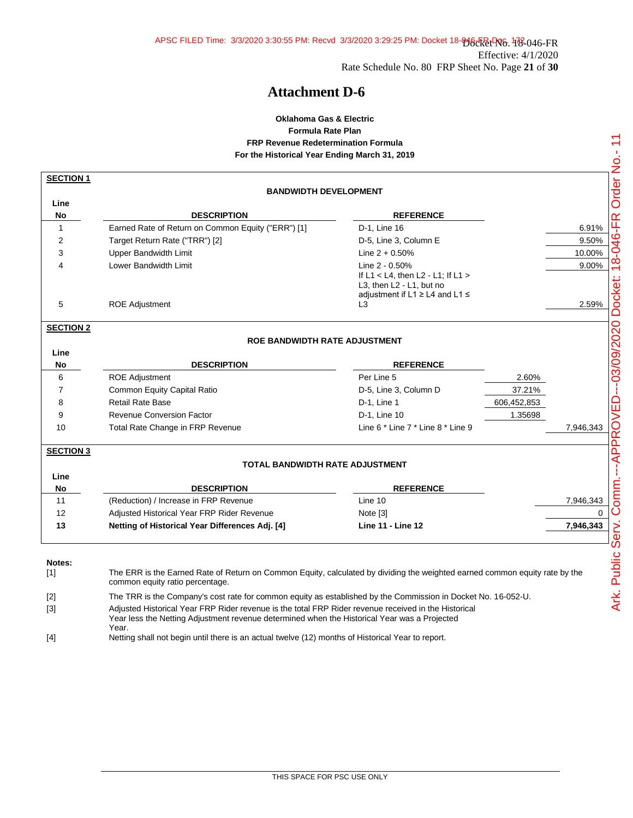### **Oklahoma Gas & Electric Formula Rate Plan FRP Revenue Redetermination Formula For the Historical Year Ending March 31, 2019**

| <b>SECTION 1</b> |                                                                                                                                                                                                      |                                                            |             |           |
|------------------|------------------------------------------------------------------------------------------------------------------------------------------------------------------------------------------------------|------------------------------------------------------------|-------------|-----------|
|                  | <b>BANDWIDTH DEVELOPMENT</b>                                                                                                                                                                         |                                                            |             |           |
| Line             |                                                                                                                                                                                                      |                                                            |             |           |
| No               | <b>DESCRIPTION</b>                                                                                                                                                                                   | <b>REFERENCE</b>                                           |             |           |
| $\mathbf{1}$     | Earned Rate of Return on Common Equity ("ERR") [1]                                                                                                                                                   | D-1, Line 16                                               |             | 6.91%     |
| 2                | Target Return Rate ("TRR") [2]                                                                                                                                                                       | D-5, Line 3, Column E                                      |             | 9.50%     |
| 3                | <b>Upper Bandwidth Limit</b>                                                                                                                                                                         | Line $2 + 0.50%$                                           |             | 10.00%    |
| 4                | Lower Bandwidth Limit                                                                                                                                                                                | Line 2 - 0.50%                                             |             | 9.00%     |
|                  |                                                                                                                                                                                                      | If $L1 < L4$ , then $L2 - L1$ : If $L1 >$                  |             |           |
|                  |                                                                                                                                                                                                      | L3, then L2 - L1, but no                                   |             |           |
| 5                | <b>ROE Adjustment</b>                                                                                                                                                                                | adjustment if L1 $\geq$ L4 and L1 $\leq$<br>L <sub>3</sub> |             | 2.59%     |
|                  |                                                                                                                                                                                                      |                                                            |             |           |
| <b>SECTION 2</b> |                                                                                                                                                                                                      |                                                            |             |           |
|                  | <b>ROE BANDWIDTH RATE ADJUSTMENT</b>                                                                                                                                                                 |                                                            |             |           |
| Line             |                                                                                                                                                                                                      |                                                            |             |           |
| No               | <b>DESCRIPTION</b>                                                                                                                                                                                   | <b>REFERENCE</b>                                           |             |           |
| 6                | <b>ROE Adjustment</b>                                                                                                                                                                                | Per Line 5                                                 | 2.60%       |           |
| 7                | <b>Common Equity Capital Ratio</b>                                                                                                                                                                   | D-5, Line 3, Column D                                      | 37.21%      |           |
| 8                | <b>Retail Rate Base</b>                                                                                                                                                                              | D-1, Line 1                                                | 606,452,853 |           |
| 9                | <b>Revenue Conversion Factor</b>                                                                                                                                                                     | D-1, Line 10                                               | 1.35698     |           |
| 10               | Total Rate Change in FRP Revenue                                                                                                                                                                     | Line 6 * Line 7 * Line 8 * Line 9                          |             | 7,946,343 |
|                  |                                                                                                                                                                                                      |                                                            |             |           |
| <b>SECTION 3</b> |                                                                                                                                                                                                      |                                                            |             |           |
|                  | TOTAL BANDWIDTH RATE ADJUSTMENT                                                                                                                                                                      |                                                            |             |           |
| Line             |                                                                                                                                                                                                      |                                                            |             |           |
| No               | <b>DESCRIPTION</b>                                                                                                                                                                                   | <b>REFERENCE</b>                                           |             |           |
| 11               | (Reduction) / Increase in FRP Revenue                                                                                                                                                                | Line 10                                                    |             | 7,946,343 |
| 12               | Adjusted Historical Year FRP Rider Revenue                                                                                                                                                           | Note [3]                                                   |             | $\Omega$  |
| 13               | Netting of Historical Year Differences Adj. [4]                                                                                                                                                      | <b>Line 11 - Line 12</b>                                   |             | 7,946,343 |
|                  |                                                                                                                                                                                                      |                                                            |             |           |
| Notes:           | The ERR is the Earned Rate of Return on Common Equity, calculated by dividing the weighted earned common equity rate by the                                                                          |                                                            |             |           |
| $[1]$            | common equity ratio percentage.                                                                                                                                                                      |                                                            |             |           |
| $[2]$            | The TRR is the Company's cost rate for common equity as established by the Commission in Docket No. 16-052-U.                                                                                        |                                                            |             |           |
| $[3]$            | Adjusted Historical Year FRP Rider revenue is the total FRP Rider revenue received in the Historical<br>Year less the Netting Adjustment revenue determined when the Historical Year was a Projected |                                                            |             |           |
|                  | Year.                                                                                                                                                                                                |                                                            |             |           |

[4] Netting shall not begin until there is an actual twelve (12) months of Historical Year to report.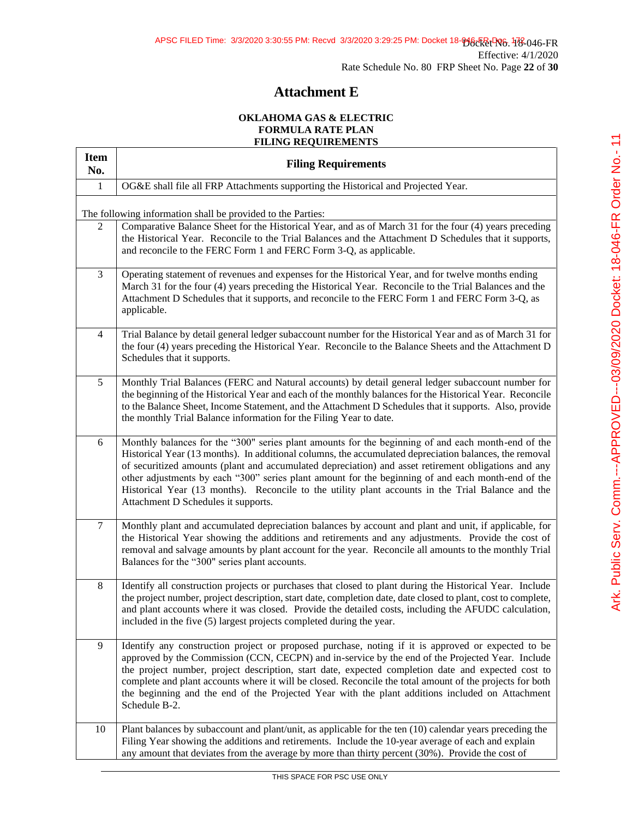# **Attachment E**

### **OKLAHOMA GAS & ELECTRIC FORMULA RATE PLAN FILING REQUIREMENTS**

| <b>Item</b><br>No.                                          | <b>Filing Requirements</b>                                                                                                                                                                                                                                                                                                                                                                                                                                                                                                                                             |  |  |  |
|-------------------------------------------------------------|------------------------------------------------------------------------------------------------------------------------------------------------------------------------------------------------------------------------------------------------------------------------------------------------------------------------------------------------------------------------------------------------------------------------------------------------------------------------------------------------------------------------------------------------------------------------|--|--|--|
| $\mathbf{1}$                                                | OG&E shall file all FRP Attachments supporting the Historical and Projected Year.                                                                                                                                                                                                                                                                                                                                                                                                                                                                                      |  |  |  |
| The following information shall be provided to the Parties: |                                                                                                                                                                                                                                                                                                                                                                                                                                                                                                                                                                        |  |  |  |
| 2                                                           | Comparative Balance Sheet for the Historical Year, and as of March 31 for the four (4) years preceding<br>the Historical Year. Reconcile to the Trial Balances and the Attachment D Schedules that it supports,<br>and reconcile to the FERC Form 1 and FERC Form 3-Q, as applicable.                                                                                                                                                                                                                                                                                  |  |  |  |
| 3                                                           | Operating statement of revenues and expenses for the Historical Year, and for twelve months ending<br>March 31 for the four (4) years preceding the Historical Year. Reconcile to the Trial Balances and the<br>Attachment D Schedules that it supports, and reconcile to the FERC Form 1 and FERC Form 3-Q, as<br>applicable.                                                                                                                                                                                                                                         |  |  |  |
| $\overline{4}$                                              | Trial Balance by detail general ledger subaccount number for the Historical Year and as of March 31 for<br>the four (4) years preceding the Historical Year. Reconcile to the Balance Sheets and the Attachment D<br>Schedules that it supports.                                                                                                                                                                                                                                                                                                                       |  |  |  |
| 5                                                           | Monthly Trial Balances (FERC and Natural accounts) by detail general ledger subaccount number for<br>the beginning of the Historical Year and each of the monthly balances for the Historical Year. Reconcile<br>to the Balance Sheet, Income Statement, and the Attachment D Schedules that it supports. Also, provide<br>the monthly Trial Balance information for the Filing Year to date.                                                                                                                                                                          |  |  |  |
| 6                                                           | Monthly balances for the "300" series plant amounts for the beginning of and each month-end of the<br>Historical Year (13 months). In additional columns, the accumulated depreciation balances, the removal<br>of securitized amounts (plant and accumulated depreciation) and asset retirement obligations and any<br>other adjustments by each "300" series plant amount for the beginning of and each month-end of the<br>Historical Year (13 months). Reconcile to the utility plant accounts in the Trial Balance and the<br>Attachment D Schedules it supports. |  |  |  |
| $\tau$                                                      | Monthly plant and accumulated depreciation balances by account and plant and unit, if applicable, for<br>the Historical Year showing the additions and retirements and any adjustments. Provide the cost of<br>removal and salvage amounts by plant account for the year. Reconcile all amounts to the monthly Trial<br>Balances for the "300" series plant accounts.                                                                                                                                                                                                  |  |  |  |
| 8                                                           | Identify all construction projects or purchases that closed to plant during the Historical Year. Include<br>the project number, project description, start date, completion date, date closed to plant, cost to complete,<br>and plant accounts where it was closed. Provide the detailed costs, including the AFUDC calculation,<br>included in the five (5) largest projects completed during the year.                                                                                                                                                              |  |  |  |
| 9                                                           | Identify any construction project or proposed purchase, noting if it is approved or expected to be<br>approved by the Commission (CCN, CECPN) and in-service by the end of the Projected Year. Include<br>the project number, project description, start date, expected completion date and expected cost to<br>complete and plant accounts where it will be closed. Reconcile the total amount of the projects for both<br>the beginning and the end of the Projected Year with the plant additions included on Attachment<br>Schedule B-2.                           |  |  |  |
| 10                                                          | Plant balances by subaccount and plant/unit, as applicable for the ten (10) calendar years preceding the<br>Filing Year showing the additions and retirements. Include the 10-year average of each and explain<br>any amount that deviates from the average by more than thirty percent (30%). Provide the cost of                                                                                                                                                                                                                                                     |  |  |  |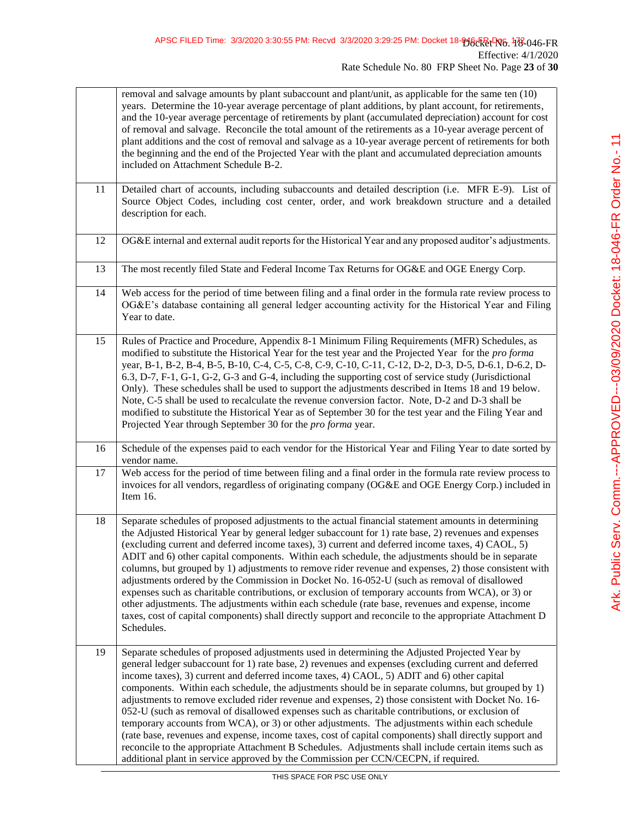|    | removal and salvage amounts by plant subaccount and plant/unit, as applicable for the same ten (10)<br>years. Determine the 10-year average percentage of plant additions, by plant account, for retirements,<br>and the 10-year average percentage of retirements by plant (accumulated depreciation) account for cost<br>of removal and salvage. Reconcile the total amount of the retirements as a 10-year average percent of<br>plant additions and the cost of removal and salvage as a 10-year average percent of retirements for both<br>the beginning and the end of the Projected Year with the plant and accumulated depreciation amounts<br>included on Attachment Schedule B-2.                                                                                                                                                                                                                                                                                                                                  |
|----|------------------------------------------------------------------------------------------------------------------------------------------------------------------------------------------------------------------------------------------------------------------------------------------------------------------------------------------------------------------------------------------------------------------------------------------------------------------------------------------------------------------------------------------------------------------------------------------------------------------------------------------------------------------------------------------------------------------------------------------------------------------------------------------------------------------------------------------------------------------------------------------------------------------------------------------------------------------------------------------------------------------------------|
| 11 | Detailed chart of accounts, including subaccounts and detailed description (i.e. MFR E-9). List of<br>Source Object Codes, including cost center, order, and work breakdown structure and a detailed<br>description for each.                                                                                                                                                                                                                                                                                                                                                                                                                                                                                                                                                                                                                                                                                                                                                                                                |
| 12 | OG&E internal and external audit reports for the Historical Year and any proposed auditor's adjustments.                                                                                                                                                                                                                                                                                                                                                                                                                                                                                                                                                                                                                                                                                                                                                                                                                                                                                                                     |
| 13 | The most recently filed State and Federal Income Tax Returns for OG&E and OGE Energy Corp.                                                                                                                                                                                                                                                                                                                                                                                                                                                                                                                                                                                                                                                                                                                                                                                                                                                                                                                                   |
| 14 | Web access for the period of time between filing and a final order in the formula rate review process to<br>OG&E's database containing all general ledger accounting activity for the Historical Year and Filing<br>Year to date.                                                                                                                                                                                                                                                                                                                                                                                                                                                                                                                                                                                                                                                                                                                                                                                            |
| 15 | Rules of Practice and Procedure, Appendix 8-1 Minimum Filing Requirements (MFR) Schedules, as<br>modified to substitute the Historical Year for the test year and the Projected Year for the <i>pro forma</i><br>year, B-1, B-2, B-4, B-5, B-10, C-4, C-5, C-8, C-9, C-10, C-11, C-12, D-2, D-3, D-5, D-6.1, D-6.2, D-<br>6.3, D-7, F-1, G-1, G-2, G-3 and G-4, including the supporting cost of service study (Jurisdictional<br>Only). These schedules shall be used to support the adjustments described in Items 18 and 19 below.<br>Note, C-5 shall be used to recalculate the revenue conversion factor. Note, D-2 and D-3 shall be<br>modified to substitute the Historical Year as of September 30 for the test year and the Filing Year and<br>Projected Year through September 30 for the <i>pro forma</i> year.                                                                                                                                                                                                   |
| 16 | Schedule of the expenses paid to each vendor for the Historical Year and Filing Year to date sorted by<br>vendor name.                                                                                                                                                                                                                                                                                                                                                                                                                                                                                                                                                                                                                                                                                                                                                                                                                                                                                                       |
| 17 | Web access for the period of time between filing and a final order in the formula rate review process to<br>invoices for all vendors, regardless of originating company (OG&E and OGE Energy Corp.) included in<br>Item 16.                                                                                                                                                                                                                                                                                                                                                                                                                                                                                                                                                                                                                                                                                                                                                                                                  |
| 18 | Separate schedules of proposed adjustments to the actual financial statement amounts in determining<br>the Adjusted Historical Year by general ledger subaccount for 1) rate base, 2) revenues and expenses<br>(excluding current and deferred income taxes), 3) current and deferred income taxes, 4) CAOL, 5)<br>ADIT and 6) other capital components. Within each schedule, the adjustments should be in separate<br>columns, but grouped by 1) adjustments to remove rider revenue and expenses, 2) those consistent with<br>adjustments ordered by the Commission in Docket No. 16-052-U (such as removal of disallowed<br>expenses such as charitable contributions, or exclusion of temporary accounts from WCA), or 3) or<br>other adjustments. The adjustments within each schedule (rate base, revenues and expense, income<br>taxes, cost of capital components) shall directly support and reconcile to the appropriate Attachment D<br>Schedules.                                                               |
| 19 | Separate schedules of proposed adjustments used in determining the Adjusted Projected Year by<br>general ledger subaccount for 1) rate base, 2) revenues and expenses (excluding current and deferred<br>income taxes), 3) current and deferred income taxes, 4) CAOL, 5) ADIT and 6) other capital<br>components. Within each schedule, the adjustments should be in separate columns, but grouped by 1)<br>adjustments to remove excluded rider revenue and expenses, 2) those consistent with Docket No. 16-<br>052-U (such as removal of disallowed expenses such as charitable contributions, or exclusion of<br>temporary accounts from WCA), or 3) or other adjustments. The adjustments within each schedule<br>(rate base, revenues and expense, income taxes, cost of capital components) shall directly support and<br>reconcile to the appropriate Attachment B Schedules. Adjustments shall include certain items such as<br>additional plant in service approved by the Commission per CCN/CECPN, if required. |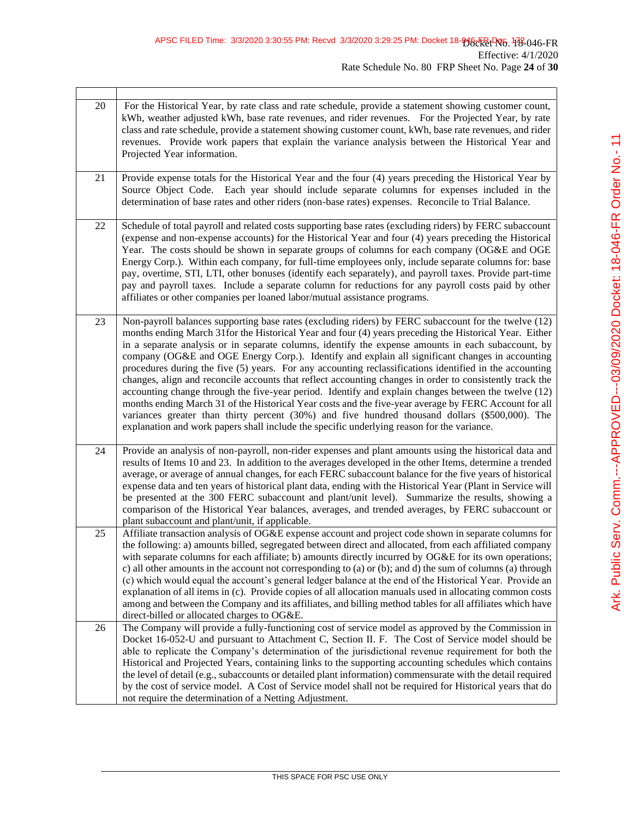$\mathbf{r}$ 

| 20 | For the Historical Year, by rate class and rate schedule, provide a statement showing customer count,<br>kWh, weather adjusted kWh, base rate revenues, and rider revenues. For the Projected Year, by rate<br>class and rate schedule, provide a statement showing customer count, kWh, base rate revenues, and rider<br>revenues. Provide work papers that explain the variance analysis between the Historical Year and<br>Projected Year information.                                                                                                                                                                                                                                                                                                                                                                                                                                                                                                                                                                                                        |
|----|------------------------------------------------------------------------------------------------------------------------------------------------------------------------------------------------------------------------------------------------------------------------------------------------------------------------------------------------------------------------------------------------------------------------------------------------------------------------------------------------------------------------------------------------------------------------------------------------------------------------------------------------------------------------------------------------------------------------------------------------------------------------------------------------------------------------------------------------------------------------------------------------------------------------------------------------------------------------------------------------------------------------------------------------------------------|
| 21 | Provide expense totals for the Historical Year and the four (4) years preceding the Historical Year by<br>Source Object Code. Each year should include separate columns for expenses included in the<br>determination of base rates and other riders (non-base rates) expenses. Reconcile to Trial Balance.                                                                                                                                                                                                                                                                                                                                                                                                                                                                                                                                                                                                                                                                                                                                                      |
| 22 | Schedule of total payroll and related costs supporting base rates (excluding riders) by FERC subaccount<br>(expense and non-expense accounts) for the Historical Year and four (4) years preceding the Historical<br>Year. The costs should be shown in separate groups of columns for each company (OG&E and OGE<br>Energy Corp.). Within each company, for full-time employees only, include separate columns for: base<br>pay, overtime, STI, LTI, other bonuses (identify each separately), and payroll taxes. Provide part-time<br>pay and payroll taxes. Include a separate column for reductions for any payroll costs paid by other<br>affiliates or other companies per loaned labor/mutual assistance programs.                                                                                                                                                                                                                                                                                                                                        |
| 23 | Non-payroll balances supporting base rates (excluding riders) by FERC subaccount for the twelve (12)<br>months ending March 31 for the Historical Year and four (4) years preceding the Historical Year. Either<br>in a separate analysis or in separate columns, identify the expense amounts in each subaccount, by<br>company (OG&E and OGE Energy Corp.). Identify and explain all significant changes in accounting<br>procedures during the five (5) years. For any accounting reclassifications identified in the accounting<br>changes, align and reconcile accounts that reflect accounting changes in order to consistently track the<br>accounting change through the five-year period. Identify and explain changes between the twelve (12)<br>months ending March 31 of the Historical Year costs and the five-year average by FERC Account for all<br>variances greater than thirty percent (30%) and five hundred thousand dollars (\$500,000). The<br>explanation and work papers shall include the specific underlying reason for the variance. |
| 24 | Provide an analysis of non-payroll, non-rider expenses and plant amounts using the historical data and<br>results of Items 10 and 23. In addition to the averages developed in the other Items, determine a trended<br>average, or average of annual changes, for each FERC subaccount balance for the five years of historical<br>expense data and ten years of historical plant data, ending with the Historical Year (Plant in Service will<br>be presented at the 300 FERC subaccount and plant/unit level). Summarize the results, showing a<br>comparison of the Historical Year balances, averages, and trended averages, by FERC subaccount or<br>plant subaccount and plant/unit, if applicable.                                                                                                                                                                                                                                                                                                                                                        |
| 25 | Affiliate transaction analysis of OG&E expense account and project code shown in separate columns for<br>the following: a) amounts billed, segregated between direct and allocated, from each affiliated company<br>with separate columns for each affiliate; b) amounts directly incurred by OG&E for its own operations;<br>c) all other amounts in the account not corresponding to (a) or (b); and d) the sum of columns (a) through<br>(c) which would equal the account's general ledger balance at the end of the Historical Year. Provide an<br>explanation of all items in (c). Provide copies of all allocation manuals used in allocating common costs<br>among and between the Company and its affiliates, and billing method tables for all affiliates which have<br>direct-billed or allocated charges to OG&E.                                                                                                                                                                                                                                    |
| 26 | The Company will provide a fully-functioning cost of service model as approved by the Commission in<br>Docket 16-052-U and pursuant to Attachment C, Section II. F. The Cost of Service model should be<br>able to replicate the Company's determination of the jurisdictional revenue requirement for both the<br>Historical and Projected Years, containing links to the supporting accounting schedules which contains<br>the level of detail (e.g., subaccounts or detailed plant information) commensurate with the detail required<br>by the cost of service model. A Cost of Service model shall not be required for Historical years that do<br>not require the determination of a Netting Adjustment.                                                                                                                                                                                                                                                                                                                                                   |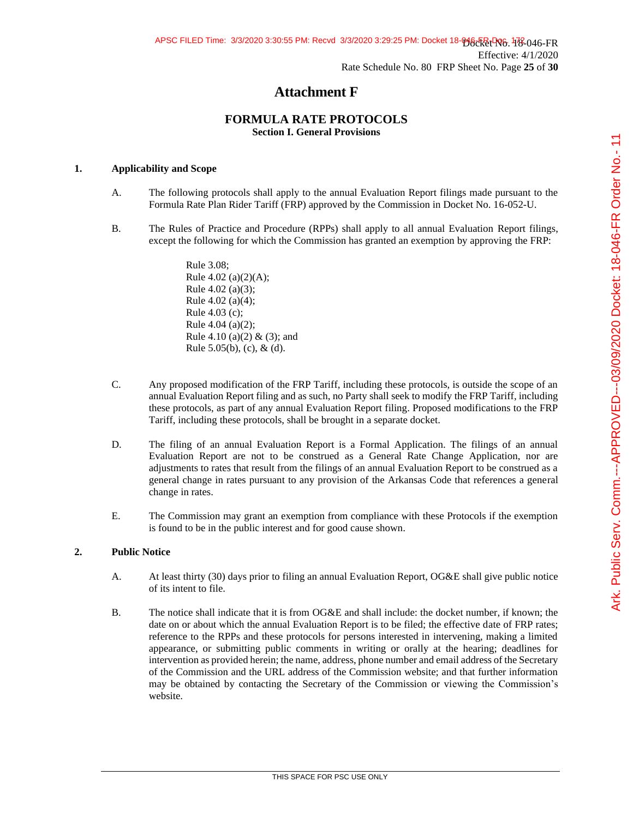## **Attachment F**

## **FORMULA RATE PROTOCOLS Section I. General Provisions**

## **1. Applicability and Scope**

- A. The following protocols shall apply to the annual Evaluation Report filings made pursuant to the Formula Rate Plan Rider Tariff (FRP) approved by the Commission in Docket No. 16-052-U.
- B. The Rules of Practice and Procedure (RPPs) shall apply to all annual Evaluation Report filings, except the following for which the Commission has granted an exemption by approving the FRP:

Rule 3.08; Rule 4.02 (a)(2)(A); Rule 4.02 (a)(3); Rule 4.02 (a)(4); Rule 4.03 (c); Rule 4.04 (a)(2); Rule 4.10 (a)(2) & (3); and Rule  $5.05(b)$ , (c), & (d).

- C. Any proposed modification of the FRP Tariff, including these protocols, is outside the scope of an annual Evaluation Report filing and as such, no Party shall seek to modify the FRP Tariff, including these protocols, as part of any annual Evaluation Report filing. Proposed modifications to the FRP Tariff, including these protocols, shall be brought in a separate docket.
- D. The filing of an annual Evaluation Report is a Formal Application. The filings of an annual Evaluation Report are not to be construed as a General Rate Change Application, nor are adjustments to rates that result from the filings of an annual Evaluation Report to be construed as a general change in rates pursuant to any provision of the Arkansas Code that references a general change in rates.
- E. The Commission may grant an exemption from compliance with these Protocols if the exemption is found to be in the public interest and for good cause shown.

### **2. Public Notice**

- A. At least thirty (30) days prior to filing an annual Evaluation Report, OG&E shall give public notice of its intent to file.
- B. The notice shall indicate that it is from OG&E and shall include: the docket number, if known; the date on or about which the annual Evaluation Report is to be filed; the effective date of FRP rates; reference to the RPPs and these protocols for persons interested in intervening, making a limited appearance, or submitting public comments in writing or orally at the hearing; deadlines for intervention as provided herein; the name, address, phone number and email address of the Secretary of the Commission and the URL address of the Commission website; and that further information may be obtained by contacting the Secretary of the Commission or viewing the Commission's website.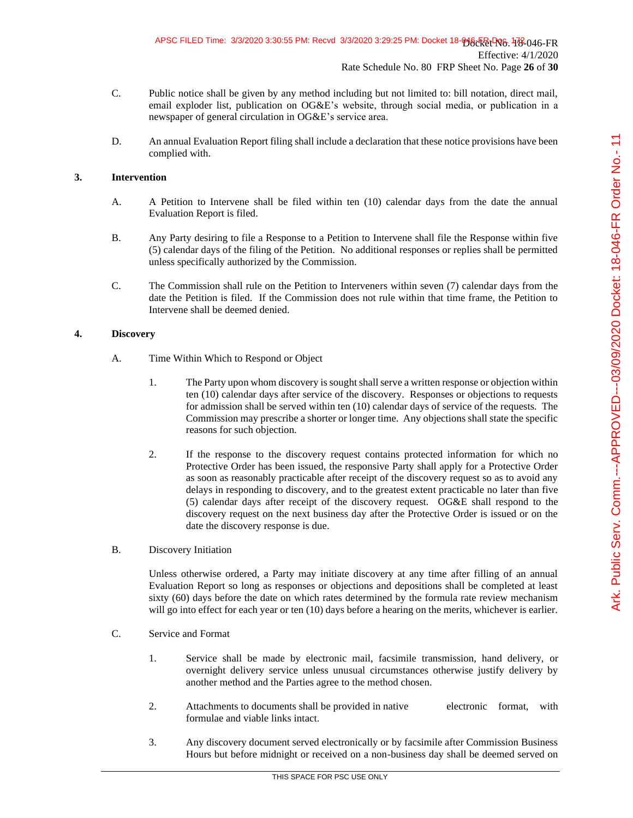- C. Public notice shall be given by any method including but not limited to: bill notation, direct mail, email exploder list, publication on OG&E's website, through social media, or publication in a newspaper of general circulation in OG&E's service area.
- D. An annual Evaluation Report filing shall include a declaration that these notice provisions have been complied with.

### **3. Intervention**

- A. A Petition to Intervene shall be filed within ten (10) calendar days from the date the annual Evaluation Report is filed.
- B. Any Party desiring to file a Response to a Petition to Intervene shall file the Response within five (5) calendar days of the filing of the Petition. No additional responses or replies shall be permitted unless specifically authorized by the Commission.
- C. The Commission shall rule on the Petition to Interveners within seven (7) calendar days from the date the Petition is filed. If the Commission does not rule within that time frame, the Petition to Intervene shall be deemed denied.

### **4. Discovery**

- A. Time Within Which to Respond or Object
	- 1. The Party upon whom discovery is sought shall serve a written response or objection within ten (10) calendar days after service of the discovery. Responses or objections to requests for admission shall be served within ten (10) calendar days of service of the requests. The Commission may prescribe a shorter or longer time. Any objections shall state the specific reasons for such objection.
	- 2. If the response to the discovery request contains protected information for which no Protective Order has been issued, the responsive Party shall apply for a Protective Order as soon as reasonably practicable after receipt of the discovery request so as to avoid any delays in responding to discovery, and to the greatest extent practicable no later than five (5) calendar days after receipt of the discovery request. OG&E shall respond to the discovery request on the next business day after the Protective Order is issued or on the date the discovery response is due.
- B. Discovery Initiation

Unless otherwise ordered, a Party may initiate discovery at any time after filling of an annual Evaluation Report so long as responses or objections and depositions shall be completed at least sixty (60) days before the date on which rates determined by the formula rate review mechanism will go into effect for each year or ten (10) days before a hearing on the merits, whichever is earlier.

- C. Service and Format
	- 1. Service shall be made by electronic mail, facsimile transmission, hand delivery, or overnight delivery service unless unusual circumstances otherwise justify delivery by another method and the Parties agree to the method chosen.
	- 2. Attachments to documents shall be provided in native electronic format, with formulae and viable links intact.
	- 3. Any discovery document served electronically or by facsimile after Commission Business Hours but before midnight or received on a non-business day shall be deemed served on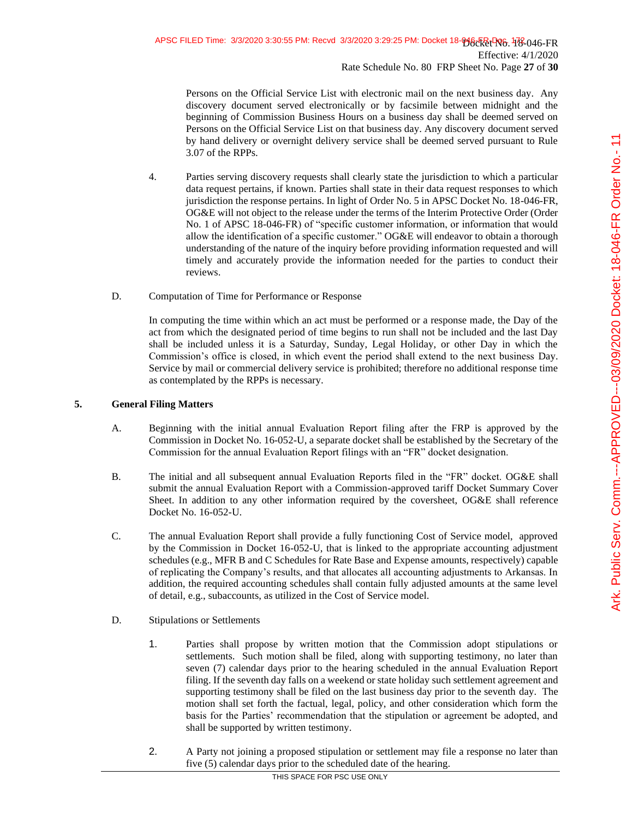Persons on the Official Service List with electronic mail on the next business day. Any discovery document served electronically or by facsimile between midnight and the beginning of Commission Business Hours on a business day shall be deemed served on Persons on the Official Service List on that business day. Any discovery document served by hand delivery or overnight delivery service shall be deemed served pursuant to Rule 3.07 of the RPPs.

- 4. Parties serving discovery requests shall clearly state the jurisdiction to which a particular data request pertains, if known. Parties shall state in their data request responses to which jurisdiction the response pertains. In light of Order No. 5 in APSC Docket No. 18-046-FR, OG&E will not object to the release under the terms of the Interim Protective Order (Order No. 1 of APSC 18-046-FR) of "specific customer information, or information that would allow the identification of a specific customer." OG&E will endeavor to obtain a thorough understanding of the nature of the inquiry before providing information requested and will timely and accurately provide the information needed for the parties to conduct their reviews.
- D. Computation of Time for Performance or Response

In computing the time within which an act must be performed or a response made, the Day of the act from which the designated period of time begins to run shall not be included and the last Day shall be included unless it is a Saturday, Sunday, Legal Holiday, or other Day in which the Commission's office is closed, in which event the period shall extend to the next business Day. Service by mail or commercial delivery service is prohibited; therefore no additional response time as contemplated by the RPPs is necessary.

## **5. General Filing Matters**

- A. Beginning with the initial annual Evaluation Report filing after the FRP is approved by the Commission in Docket No. 16-052-U, a separate docket shall be established by the Secretary of the Commission for the annual Evaluation Report filings with an "FR" docket designation.
- B. The initial and all subsequent annual Evaluation Reports filed in the "FR" docket. OG&E shall submit the annual Evaluation Report with a Commission-approved tariff Docket Summary Cover Sheet. In addition to any other information required by the coversheet, OG&E shall reference Docket No. 16-052-U.
- C. The annual Evaluation Report shall provide a fully functioning Cost of Service model, approved by the Commission in Docket 16-052-U, that is linked to the appropriate accounting adjustment schedules (e.g., MFR B and C Schedules for Rate Base and Expense amounts, respectively) capable of replicating the Company's results, and that allocates all accounting adjustments to Arkansas. In addition, the required accounting schedules shall contain fully adjusted amounts at the same level of detail, e.g., subaccounts, as utilized in the Cost of Service model.
- D. Stipulations or Settlements
	- 1. Parties shall propose by written motion that the Commission adopt stipulations or settlements. Such motion shall be filed, along with supporting testimony, no later than seven (7) calendar days prior to the hearing scheduled in the annual Evaluation Report filing. If the seventh day falls on a weekend or state holiday such settlement agreement and supporting testimony shall be filed on the last business day prior to the seventh day. The motion shall set forth the factual, legal, policy, and other consideration which form the basis for the Parties' recommendation that the stipulation or agreement be adopted, and shall be supported by written testimony.
	- 2. A Party not joining a proposed stipulation or settlement may file a response no later than five (5) calendar days prior to the scheduled date of the hearing.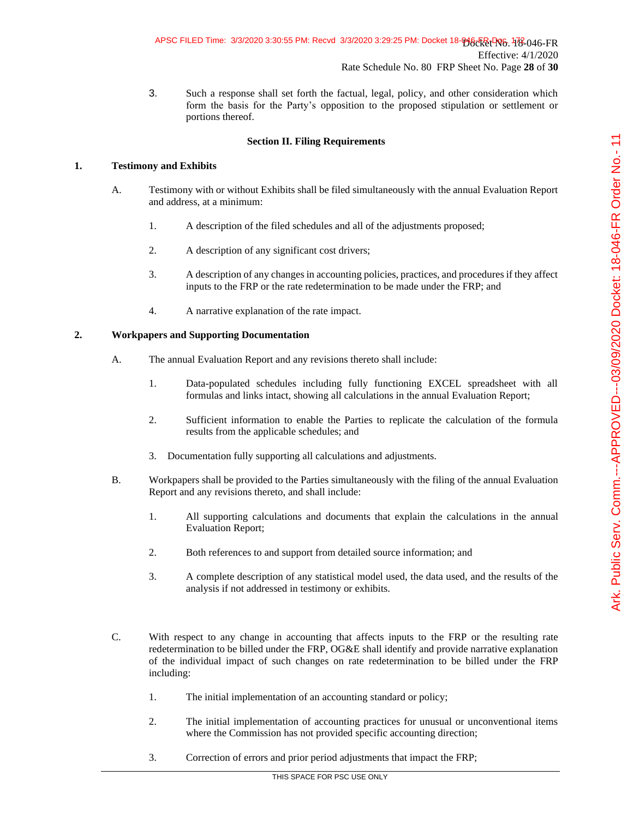## APSC FILED Time: 3/3/2020 3:30:55 PM: Recvd 3/3/2020 3:29:25 PM: Docket 18-046ER-RV6, 178-046-FR Effective: 4/1/2020 Rate Schedule No. 80 FRP Sheet No. Page **28** of **30**

3. Such a response shall set forth the factual, legal, policy, and other consideration which form the basis for the Party's opposition to the proposed stipulation or settlement or portions thereof.

## **Section II. Filing Requirements**

### **1. Testimony and Exhibits**

- A. Testimony with or without Exhibits shall be filed simultaneously with the annual Evaluation Report and address, at a minimum:
	- 1. A description of the filed schedules and all of the adjustments proposed;
	- 2. A description of any significant cost drivers;
	- 3. A description of any changes in accounting policies, practices, and procedures if they affect inputs to the FRP or the rate redetermination to be made under the FRP; and
	- 4. A narrative explanation of the rate impact.

### **2. Workpapers and Supporting Documentation**

- A. The annual Evaluation Report and any revisions thereto shall include:
	- 1. Data-populated schedules including fully functioning EXCEL spreadsheet with all formulas and links intact, showing all calculations in the annual Evaluation Report;
	- 2. Sufficient information to enable the Parties to replicate the calculation of the formula results from the applicable schedules; and
	- 3. Documentation fully supporting all calculations and adjustments.
- B. Workpapers shall be provided to the Parties simultaneously with the filing of the annual Evaluation Report and any revisions thereto, and shall include:
	- 1. All supporting calculations and documents that explain the calculations in the annual Evaluation Report;
	- 2. Both references to and support from detailed source information; and
	- 3. A complete description of any statistical model used, the data used, and the results of the analysis if not addressed in testimony or exhibits.
- C. With respect to any change in accounting that affects inputs to the FRP or the resulting rate redetermination to be billed under the FRP, OG&E shall identify and provide narrative explanation of the individual impact of such changes on rate redetermination to be billed under the FRP including:
	- 1. The initial implementation of an accounting standard or policy;
	- 2. The initial implementation of accounting practices for unusual or unconventional items where the Commission has not provided specific accounting direction;
	- 3. Correction of errors and prior period adjustments that impact the FRP;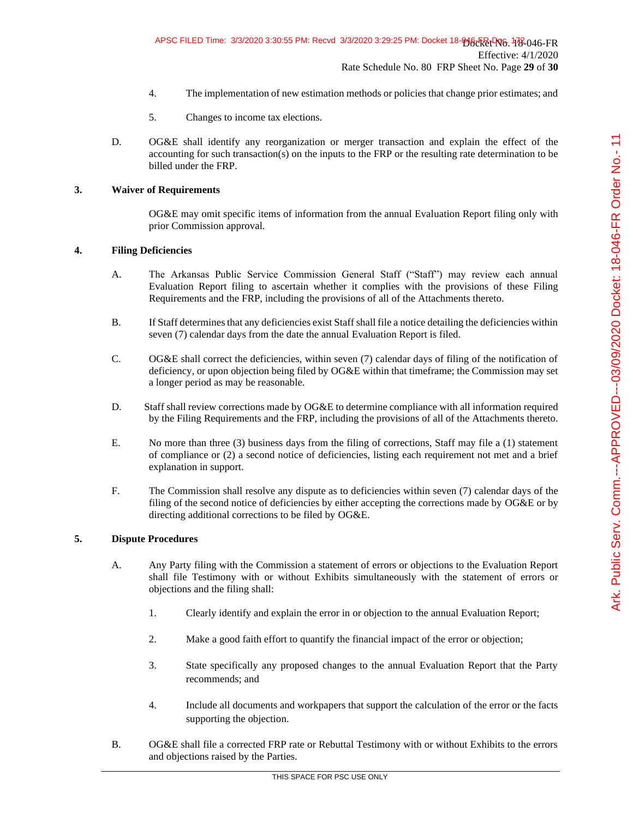- 4. The implementation of new estimation methods or policies that change prior estimates; and
- 5. Changes to income tax elections.
- D. OG&E shall identify any reorganization or merger transaction and explain the effect of the accounting for such transaction(s) on the inputs to the FRP or the resulting rate determination to be billed under the FRP.

### **3. Waiver of Requirements**

OG&E may omit specific items of information from the annual Evaluation Report filing only with prior Commission approval.

### **4. Filing Deficiencies**

- A. The Arkansas Public Service Commission General Staff ("Staff") may review each annual Evaluation Report filing to ascertain whether it complies with the provisions of these Filing Requirements and the FRP, including the provisions of all of the Attachments thereto.
- B. If Staff determines that any deficiencies exist Staff shall file a notice detailing the deficiencies within seven (7) calendar days from the date the annual Evaluation Report is filed.
- C. OG&E shall correct the deficiencies, within seven (7) calendar days of filing of the notification of deficiency, or upon objection being filed by OG&E within that timeframe; the Commission may set a longer period as may be reasonable.
- D. Staff shall review corrections made by OG&E to determine compliance with all information required by the Filing Requirements and the FRP, including the provisions of all of the Attachments thereto.
- E. No more than three (3) business days from the filing of corrections, Staff may file a (1) statement of compliance or (2) a second notice of deficiencies, listing each requirement not met and a brief explanation in support.
- F. The Commission shall resolve any dispute as to deficiencies within seven (7) calendar days of the filing of the second notice of deficiencies by either accepting the corrections made by OG&E or by directing additional corrections to be filed by OG&E.

### **5. Dispute Procedures**

- A. Any Party filing with the Commission a statement of errors or objections to the Evaluation Report shall file Testimony with or without Exhibits simultaneously with the statement of errors or objections and the filing shall:
	- 1. Clearly identify and explain the error in or objection to the annual Evaluation Report;
	- 2. Make a good faith effort to quantify the financial impact of the error or objection;
	- 3. State specifically any proposed changes to the annual Evaluation Report that the Party recommends; and
	- 4. Include all documents and workpapers that support the calculation of the error or the facts supporting the objection.
- B. OG&E shall file a corrected FRP rate or Rebuttal Testimony with or without Exhibits to the errors and objections raised by the Parties.